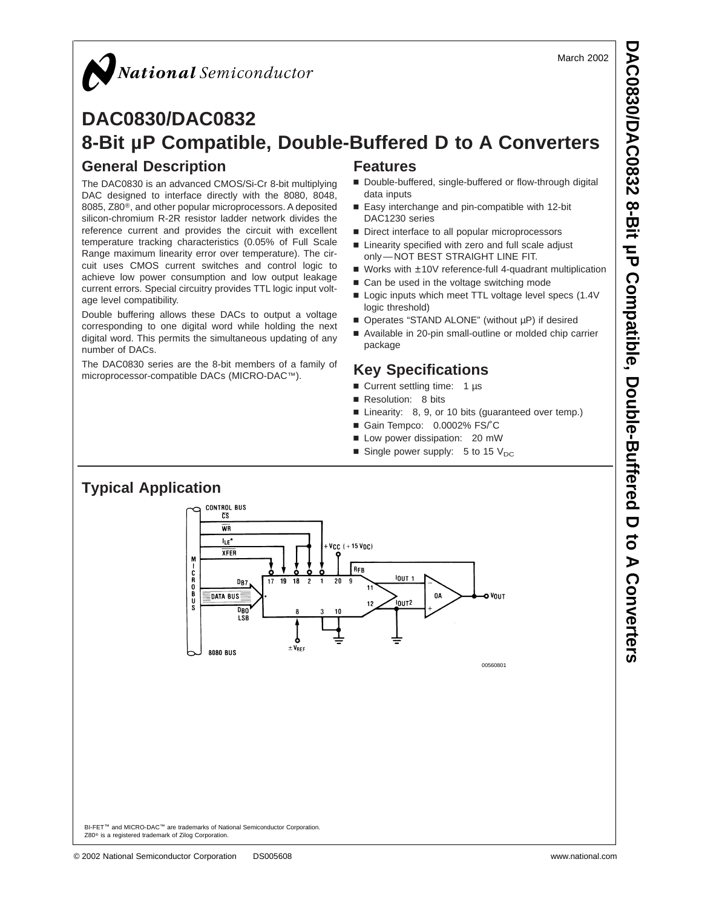#### March 2002

## $\boldsymbol{Q}$ National Semiconductor

## **DAC0830/DAC0832 8-Bit µP Compatible, Double-Buffered D to A Converters General Description Features**

The DAC0830 is an advanced CMOS/Si-Cr 8-bit multiplying DAC designed to interface directly with the 8080, 8048, 8085, Z80®, and other popular microprocessors. A deposited silicon-chromium R-2R resistor ladder network divides the reference current and provides the circuit with excellent temperature tracking characteristics (0.05% of Full Scale Range maximum linearity error over temperature). The circuit uses CMOS current switches and control logic to achieve low power consumption and low output leakage current errors. Special circuitry provides TTL logic input voltage level compatibility.

Double buffering allows these DACs to output a voltage corresponding to one digital word while holding the next digital word. This permits the simultaneous updating of any number of DACs.

The DAC0830 series are the 8-bit members of a family of microprocessor-compatible DACs (MICRO-DAC™).

- Double-buffered, single-buffered or flow-through digital data inputs
- Easy interchange and pin-compatible with 12-bit DAC1230 series
- Direct interface to all popular microprocessors
- Linearity specified with zero and full scale adjust only — NOT BEST STRAIGHT LINE FIT.
- Works with ±10V reference-full 4-quadrant multiplication
- Can be used in the voltage switching mode
- Logic inputs which meet TTL voltage level specs (1.4V logic threshold)
- Operates "STAND ALONE" (without µP) if desired
- Available in 20-pin small-outline or molded chip carrier package

## **Key Specifications**

- Current settling time: 1 µs
- Resolution: 8 bits
- Linearity: 8, 9, or 10 bits (guaranteed over temp.)
- Gain Tempco: 0.0002% FS/°C
- Low power dissipation: 20 mW
- Single power supply: 5 to 15  $V_{DC}$



Z80® is a registered trademark of Zilog Corporation.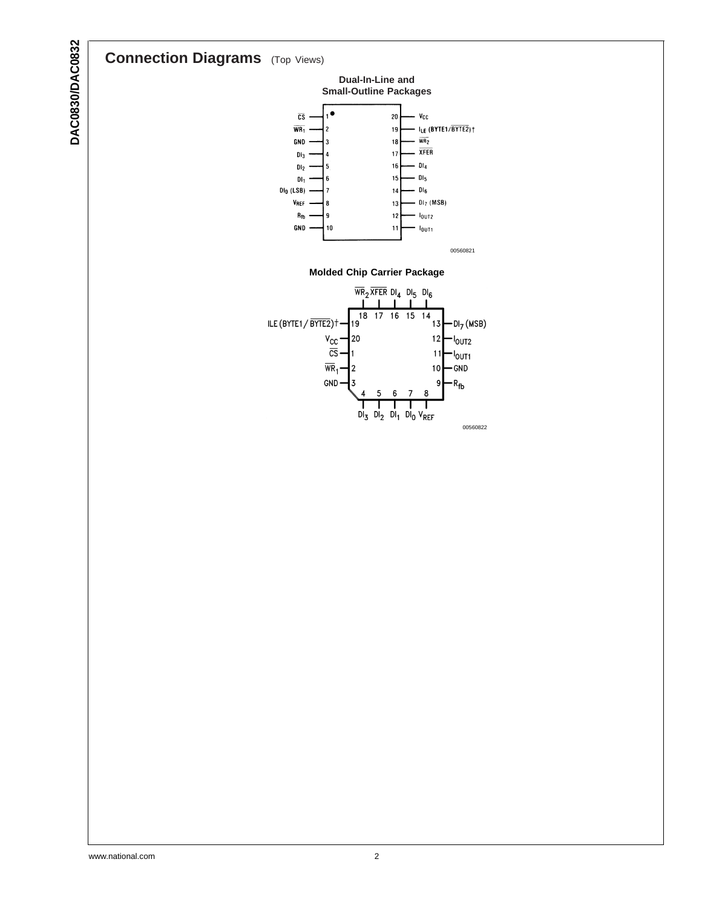## **Connection Diagrams** (Top Views)



GND



00560821

#### **Molded Chip Carrier Package**

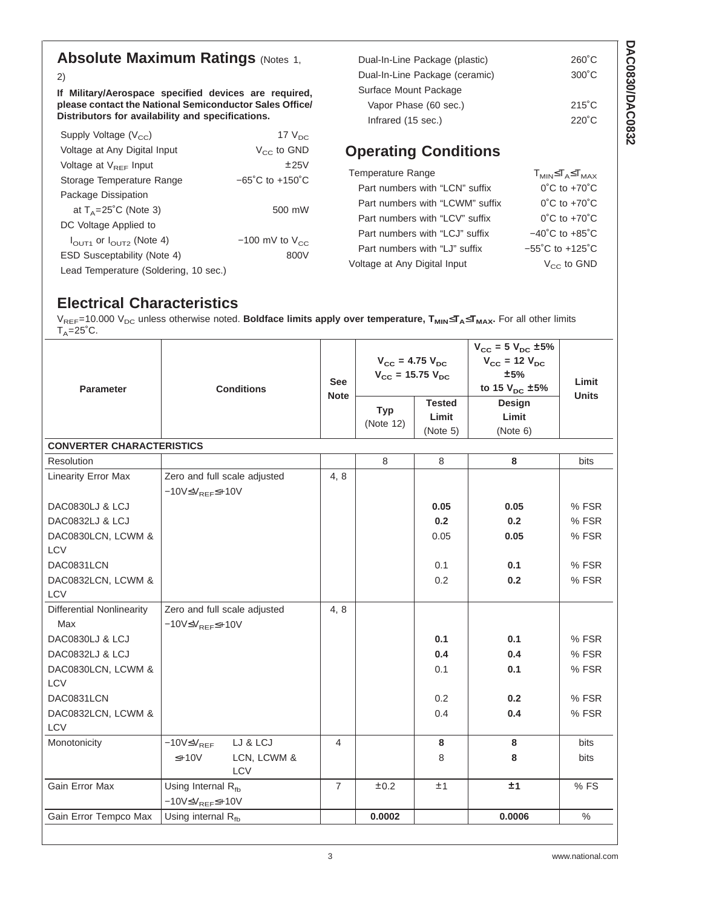## **Absolute Maximum Ratings (Notes [1](#page-4-0),**

[2](#page-4-0))

**If Military/Aerospace specified devices are required, please contact the National Semiconductor Sales Office/ Distributors for availability and specifications.**

| Supply Voltage $(V_{cc})$                       | 17 $V_{DC}$                         |
|-------------------------------------------------|-------------------------------------|
| Voltage at Any Digital Input                    | $V_{CC}$ to GND                     |
| Voltage at $V_{REF}$ Input                      | ±25V                                |
| Storage Temperature Range                       | $-65^{\circ}$ C to $+150^{\circ}$ C |
| Package Dissipation                             |                                     |
| at $T_{\Delta}$ =25°C (Note 3)                  | 500 mW                              |
| DC Voltage Applied to                           |                                     |
| $I_{\text{OUT1}}$ or $I_{\text{OUT2}}$ (Note 4) | $-100$ mV to $V_{CC}$               |
| ESD Susceptability (Note 4)                     | 800V                                |
| Lead Temperature (Soldering, 10 sec.)           |                                     |

| Dual-In-Line Package (plastic) | $260^{\circ}$ C |
|--------------------------------|-----------------|
| Dual-In-Line Package (ceramic) | $300^{\circ}$ C |
| Surface Mount Package          |                 |
| Vapor Phase (60 sec.)          | $215^{\circ}$ C |
| Infrared (15 sec.)             | $220^{\circ}$ C |

## **Operating Conditions**

| Temperature Range               | $T_{MIN} \leq T_A \leq T_{MAX}$     |
|---------------------------------|-------------------------------------|
| Part numbers with "LCN" suffix  | $0^{\circ}$ C to $+70^{\circ}$ C    |
| Part numbers with "LCWM" suffix | $0^{\circ}$ C to $+70^{\circ}$ C    |
| Part numbers with "LCV" suffix  | $0^{\circ}$ C to $+70^{\circ}$ C    |
| Part numbers with "LCJ" suffix  | $-40^{\circ}$ C to $+85^{\circ}$ C  |
| Part numbers with "LJ" suffix   | $-55^{\circ}$ C to $+125^{\circ}$ C |
| Voltage at Any Digital Input    | $V_{CC}$ to GND                     |

## **Electrical Characteristics**

 $\rm{V_{REF}}$ =10.000  $\rm{V_{DC}}$  unless otherwise noted. **Boldface limits apply over temperature, T<sub>MIN</sub>≤T<sub>A</sub>≤T<sub>MAX</sub>. For all other limits**  $T_A = 25^\circ \text{C}.$ 

| <b>Parameter</b>                 | <b>Conditions</b><br><b>Note</b>         |                | $V_{CC}$ = 4.75 $V_{DC}$<br>$V_{CC}$ = 15.75 $V_{DC}$<br><b>Tested</b><br><b>Typ</b><br>Limit<br>(Note 12)<br>(Note 5) |      | $V_{CC} = 5 V_{DC} \pm 5%$<br>$V_{\text{cc}}$ = 12 $V_{\text{DC}}$<br>±5%<br>to 15 $V_{DC}$ ±5%<br>Design<br>Limit<br>(Note 6) | Limit<br><b>Units</b> |
|----------------------------------|------------------------------------------|----------------|------------------------------------------------------------------------------------------------------------------------|------|--------------------------------------------------------------------------------------------------------------------------------|-----------------------|
| <b>CONVERTER CHARACTERISTICS</b> |                                          |                |                                                                                                                        |      |                                                                                                                                |                       |
| Resolution                       |                                          |                | 8                                                                                                                      | 8    | 8                                                                                                                              | <b>bits</b>           |
| <b>Linearity Error Max</b>       | Zero and full scale adjusted             | 4, 8           |                                                                                                                        |      |                                                                                                                                |                       |
|                                  | $-10V \leq V_{REF} \leq +10V$            |                |                                                                                                                        |      |                                                                                                                                |                       |
| DAC0830LJ & LCJ                  |                                          |                |                                                                                                                        | 0.05 | 0.05                                                                                                                           | % FSR                 |
| DAC0832LJ & LCJ                  |                                          |                |                                                                                                                        | 0.2  | 0.2                                                                                                                            | % FSR                 |
| DAC0830LCN, LCWM &               |                                          |                |                                                                                                                        | 0.05 | 0.05                                                                                                                           | % FSR                 |
| <b>LCV</b>                       |                                          |                |                                                                                                                        |      |                                                                                                                                |                       |
| DAC0831LCN                       |                                          |                |                                                                                                                        | 0.1  | 0.1                                                                                                                            | % FSR                 |
| DAC0832LCN, LCWM &               |                                          |                |                                                                                                                        | 0.2  | 0.2                                                                                                                            | % FSR                 |
| LCV                              |                                          |                |                                                                                                                        |      |                                                                                                                                |                       |
| <b>Differential Nonlinearity</b> | Zero and full scale adjusted             | 4, 8           |                                                                                                                        |      |                                                                                                                                |                       |
| Max                              | $-10V \leq V_{REF} \leq +10V$            |                |                                                                                                                        |      |                                                                                                                                |                       |
| DAC0830LJ & LCJ                  |                                          |                |                                                                                                                        | 0.1  | 0.1                                                                                                                            | % FSR                 |
| <b>DAC0832LJ &amp; LCJ</b>       |                                          |                |                                                                                                                        | 0.4  | 0.4                                                                                                                            | % FSR                 |
| DAC0830LCN, LCWM &<br>LCV        |                                          |                |                                                                                                                        | 0.1  | 0.1                                                                                                                            | % FSR                 |
| DAC0831LCN                       |                                          |                |                                                                                                                        | 0.2  | 0.2                                                                                                                            | % FSR                 |
| DAC0832LCN, LCWM &               |                                          |                |                                                                                                                        | 0.4  | 0.4                                                                                                                            | % FSR                 |
| <b>LCV</b>                       |                                          |                |                                                                                                                        |      |                                                                                                                                |                       |
| Monotonicity                     | LJ & LCJ<br>$-10V \leq V_{REF}$          | 4              |                                                                                                                        | 8    | 8                                                                                                                              | <b>bits</b>           |
|                                  | LCN, LCWM &<br>$\leq +10V$<br><b>LCV</b> |                |                                                                                                                        | 8    | 8                                                                                                                              | bits                  |
| Gain Error Max                   | Using Internal Rfb                       | $\overline{7}$ | ±0.2                                                                                                                   | ±1   | ±1                                                                                                                             | %FS                   |
|                                  | $-10V \leq V_{REF} \leq +10V$            |                |                                                                                                                        |      |                                                                                                                                |                       |
| Gain Error Tempco Max            | Using internal Rfb                       |                | 0.0002                                                                                                                 |      | 0.0006                                                                                                                         | $\%$                  |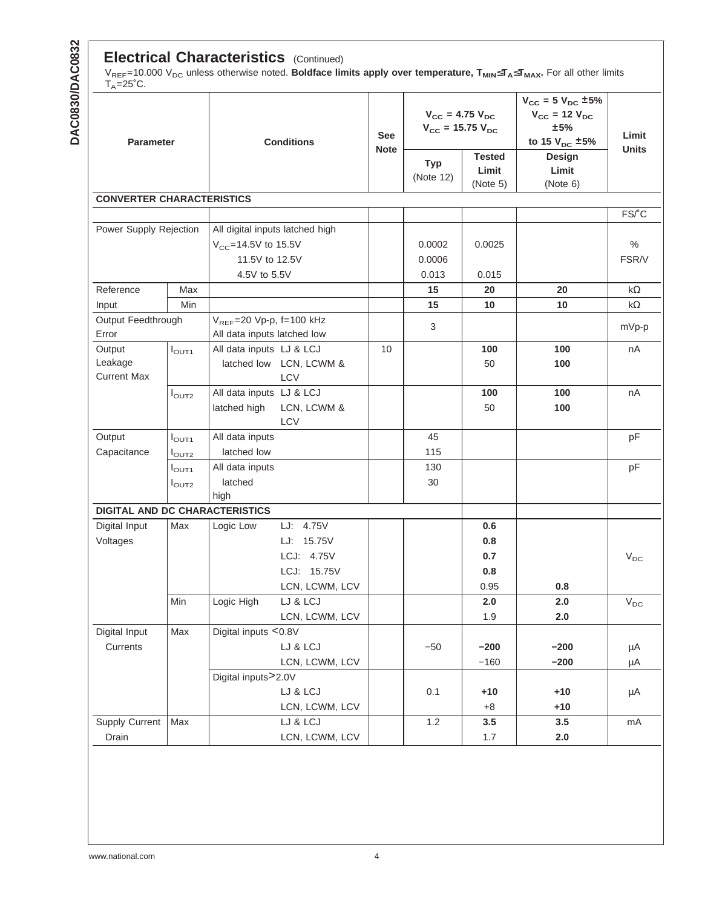#### **Electrical Characteristics** (Continued)

 $\rm{V_{REF}}$ =10.000  $\rm{V_{DC}}$  unless otherwise noted. **Boldface limits apply over temperature, T<sub>MIN</sub>≤T<sub>A</sub>≤T<sub>MAX</sub>. For all other limits** T<sub>A</sub>=25˚C.

| Parameter                             |                   | <b>Conditions</b>                                            | <b>See</b><br><b>Note</b>       | $V_{\text{cc}} = 4.75 V_{\text{DC}}$<br>$V_{\text{cc}}$ = 15.75 $V_{\text{DC}}$ |                         | $V_{CC} = 5 V_{DC} \pm 5\%$<br>$V_{\text{cc}}$ = 12 $V_{\text{DC}}$<br>±5%<br>to 15 $V_{DC}$ ±5% | Limit<br><b>Units</b>       |           |  |
|---------------------------------------|-------------------|--------------------------------------------------------------|---------------------------------|---------------------------------------------------------------------------------|-------------------------|--------------------------------------------------------------------------------------------------|-----------------------------|-----------|--|
|                                       |                   |                                                              |                                 |                                                                                 | <b>Typ</b><br>(Note 12) | <b>Tested</b><br>Limit<br>(Note 5)                                                               | Design<br>Limit<br>(Note 6) |           |  |
| <b>CONVERTER CHARACTERISTICS</b>      |                   |                                                              |                                 |                                                                                 |                         |                                                                                                  |                             |           |  |
|                                       |                   |                                                              |                                 |                                                                                 |                         |                                                                                                  |                             | FS/°C     |  |
| Power Supply Rejection                |                   |                                                              | All digital inputs latched high |                                                                                 |                         |                                                                                                  |                             |           |  |
|                                       |                   | $V_{CC} = 14.5V$ to 15.5V                                    |                                 |                                                                                 | 0.0002                  | 0.0025                                                                                           |                             | $\%$      |  |
|                                       |                   | 11.5V to 12.5V                                               |                                 |                                                                                 | 0.0006                  |                                                                                                  |                             | FSR/V     |  |
|                                       |                   | 4.5V to 5.5V                                                 |                                 |                                                                                 | 0.013                   | 0.015                                                                                            |                             |           |  |
| Reference                             | Max               |                                                              |                                 |                                                                                 | 15                      | 20                                                                                               | 20                          | $k\Omega$ |  |
| Input                                 | Min               |                                                              |                                 |                                                                                 | 15                      | 10                                                                                               | 10                          | $k\Omega$ |  |
| Output Feedthrough<br>Error           |                   | $V_{REF}$ =20 Vp-p, f=100 kHz<br>All data inputs latched low |                                 |                                                                                 | 3                       |                                                                                                  |                             | mVp-p     |  |
| Output                                | $I_{\text{OUT1}}$ | All data inputs LJ & LCJ                                     |                                 | 10                                                                              |                         | 100                                                                                              | 100                         | nA        |  |
| Leakage<br><b>Current Max</b>         |                   |                                                              | latched low LCN, LCWM &<br>LCV  |                                                                                 |                         | 50                                                                                               | 100                         |           |  |
|                                       | $I_{\text{OUT2}}$ | All data inputs LJ & LCJ                                     |                                 |                                                                                 |                         | 100                                                                                              | 100                         | nA        |  |
|                                       |                   | latched high                                                 | LCN, LCWM &<br><b>LCV</b>       |                                                                                 |                         | 50                                                                                               | 100                         |           |  |
| Output                                | $I_{\text{OUT1}}$ | All data inputs                                              |                                 |                                                                                 | 45                      |                                                                                                  |                             | pF        |  |
| Capacitance                           | $I_{\text{OUT2}}$ | latched low                                                  |                                 |                                                                                 | 115                     |                                                                                                  |                             |           |  |
|                                       | $I_{\text{OUT1}}$ | All data inputs                                              |                                 |                                                                                 | 130                     |                                                                                                  |                             | pF        |  |
|                                       | $I_{\text{OUT2}}$ | latched<br>high                                              |                                 |                                                                                 | 30                      |                                                                                                  |                             |           |  |
| <b>DIGITAL AND DC CHARACTERISTICS</b> |                   |                                                              |                                 |                                                                                 |                         |                                                                                                  |                             |           |  |
| Digital Input                         | Max               | Logic Low                                                    | LJ: 4.75V                       |                                                                                 |                         | 0.6                                                                                              |                             |           |  |
| Voltages                              |                   |                                                              | LJ: 15.75V                      |                                                                                 |                         | 0.8                                                                                              |                             |           |  |
|                                       |                   |                                                              | LCJ: 4.75V                      |                                                                                 |                         | 0.7                                                                                              |                             | $V_{DC}$  |  |
|                                       |                   |                                                              | LCJ: 15.75V                     |                                                                                 |                         | 0.8                                                                                              |                             |           |  |
|                                       |                   |                                                              | LCN, LCWM, LCV                  |                                                                                 |                         | 0.95                                                                                             | 0.8                         |           |  |
|                                       | Min               | Logic High                                                   | LJ & LCJ                        |                                                                                 |                         | 2.0                                                                                              | 2.0                         | $V_{DC}$  |  |
|                                       |                   |                                                              | LCN, LCWM, LCV                  |                                                                                 |                         | 1.9                                                                                              | 2.0                         |           |  |
| Digital Input                         | Max               | Digital inputs <0.8V                                         |                                 |                                                                                 |                         |                                                                                                  |                             |           |  |
| Currents                              |                   |                                                              | LJ & LCJ                        |                                                                                 | $-50$                   | $-200$                                                                                           | $-200$                      | μA        |  |
|                                       |                   |                                                              | LCN, LCWM, LCV                  |                                                                                 |                         | $-160$                                                                                           | $-200$                      | μA        |  |
|                                       |                   | Digital inputs>2.0V                                          |                                 |                                                                                 |                         |                                                                                                  |                             |           |  |
|                                       |                   |                                                              | LJ & LCJ                        |                                                                                 | 0.1                     | $+10$                                                                                            | $+10$                       | μA        |  |
|                                       |                   |                                                              | LCN, LCWM, LCV                  |                                                                                 |                         | $+8$                                                                                             | $+10$                       |           |  |
| <b>Supply Current</b>                 | Max               |                                                              | LJ & LCJ                        |                                                                                 | 1.2                     | 3.5                                                                                              | 3.5                         | mA        |  |
| Drain                                 |                   |                                                              | LCN, LCWM, LCV                  |                                                                                 |                         | 1.7                                                                                              | 2.0                         |           |  |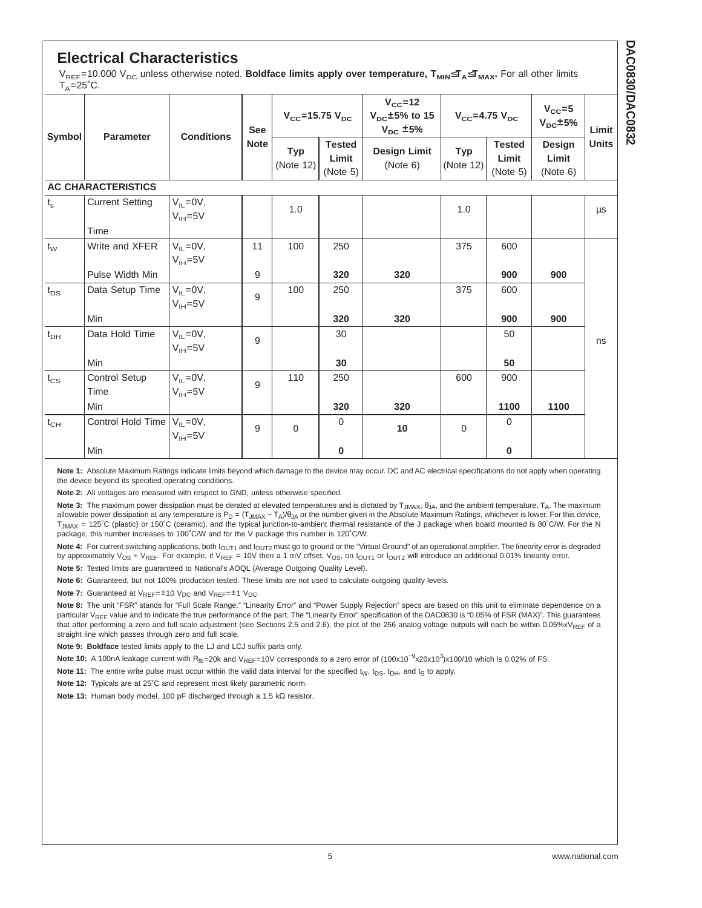## <span id="page-4-0"></span>**Electrical Characteristics**

V<sub>REF</sub>=10.000 V<sub>DC</sub> unless otherwise noted. **Boldface limits apply over temperature, T<sub>MIN</sub>≤T<sub>A</sub>≤T<sub>MAX</sub>.** For all other limits  $T. = 25^\circ C.$ 

| Symbol         |                                   | <b>Conditions</b>                | <b>See</b><br><b>Note</b> | $V_{\text{CC}}$ =15.75 $V_{\text{DC}}$ |                                    | $V_{\rm CC}$ =12<br>$V_{\text{DC}}$ ±5% to 15<br>$V_{\text{cc}}$ =4.75 $V_{\text{DC}}$<br>$V_{DC}$ ±5% |                         |                                    | $V_{\rm CC} = 5$<br>$V_{DC}$ ±5% | Limit        |
|----------------|-----------------------------------|----------------------------------|---------------------------|----------------------------------------|------------------------------------|--------------------------------------------------------------------------------------------------------|-------------------------|------------------------------------|----------------------------------|--------------|
|                | Parameter                         |                                  |                           | Typ<br>(Note 12)                       | <b>Tested</b><br>Limit<br>(Note 5) | <b>Design Limit</b><br>(Note 6)                                                                        | <b>Typ</b><br>(Note 12) | <b>Tested</b><br>Limit<br>(Note 5) | Design<br>Limit<br>(Note 6)      | <b>Units</b> |
|                | <b>AC CHARACTERISTICS</b>         |                                  |                           |                                        |                                    |                                                                                                        |                         |                                    |                                  |              |
| $t_{\rm s}$    | <b>Current Setting</b>            | $V_{IL} = 0V$ ,<br>$V_{IH} = 5V$ |                           | 1.0                                    |                                    |                                                                                                        | 1.0                     |                                    |                                  | μs           |
|                | Time                              |                                  |                           |                                        |                                    |                                                                                                        |                         |                                    |                                  |              |
| $t_{\text{W}}$ | Write and XFER                    | $V_{IL} = 0V$ ,<br>$V_{IH} = 5V$ | 11                        | 100                                    | 250                                |                                                                                                        | 375                     | 600                                |                                  |              |
|                | Pulse Width Min                   |                                  | 9                         |                                        | 320                                | 320                                                                                                    |                         | 900                                | 900                              |              |
| $t_{DS}$       | Data Setup Time                   | $V_{IL} = 0V$ ,<br>$V_{IH} = 5V$ | 9                         | 100                                    | 250                                |                                                                                                        | 375                     | 600                                |                                  |              |
|                | Min                               |                                  |                           |                                        | 320                                | 320                                                                                                    |                         | 900                                | 900                              |              |
| $t_{DH}$       | Data Hold Time                    | $V_{IL} = 0V$ ,<br>$V_{IH} = 5V$ | 9                         |                                        | 30                                 |                                                                                                        |                         | 50                                 |                                  | ns           |
|                | Min                               |                                  |                           |                                        | 30                                 |                                                                                                        |                         | 50                                 |                                  |              |
| $t_{CS}$       | Control Setup<br>Time             | $V_{IL} = 0V$ ,<br>$V_{IH} = 5V$ | 9                         | 110                                    | 250                                |                                                                                                        | 600                     | 900                                |                                  |              |
|                | Min                               |                                  |                           |                                        | 320                                | 320                                                                                                    |                         | 1100                               | 1100                             |              |
| $t_{CH}$       | Control Hold Time $V_{IL} = 0V$ , | $V_{IH} = 5V$                    | 9                         | $\Omega$                               | $\Omega$                           | 10                                                                                                     | $\Omega$                | $\Omega$                           |                                  |              |
|                | Min                               |                                  |                           |                                        | 0                                  |                                                                                                        |                         | 0                                  |                                  |              |

**Note 1:** Absolute Maximum Ratings indicate limits beyond which damage to the device may occur. DC and AC electrical specifications do not apply when operating the device beyond its specified operating conditions.

**Note 2:** All voltages are measured with respect to GND, unless otherwise specified.

Note 3: The maximum power dissipation must be derated at elevated temperatures and is dictated by T<sub>JMAX</sub>, θ<sub>JA</sub>, and the ambient temperature, Τ<sub>A</sub>. The maximum allowable power dissipation at any temperature is P<sub>D</sub> = (T<sub>JMAX</sub> – T<sub>A</sub>)/θ<sub>JA</sub> or the number given in the Absolute Maximum Ratings, whichever is lower. For this device,  $T_{JMAX}$  = 125°C (plastic) or 150°C (ceramic), and the typical junction-to-ambient thermal resistance of the J package when board mounted is 80°C/W. For the N package, this number increases to 100˚C/W and for the V package this number is 120˚C/W.

Note 4: For current switching applications, both I<sub>OUT1</sub> and I<sub>OUT2</sub> must go to ground or the "Virtual Ground" of an operational amplifier. The linearity error is degraded by approximately V<sub>OS</sub> ÷ V<sub>REF</sub>. For example, if V<sub>REF</sub> = 10V then a 1 mV offset, V<sub>OS</sub>, on  $I_{\text{OUT1}}$  or  $I_{\text{OUT2}}$  will introduce an additional 0.01% linearity error.

**Note 5:** Tested limits are guaranteed to National's AOQL (Average Outgoing Quality Level).

**Note 6:** Guaranteed, but not 100% production tested. These limits are not used to calculate outgoing quality levels.

**Note 7:** Guaranteed at  $V_{REF} = \pm 10$   $V_{DC}$  and  $V_{REF} = \pm 1$   $V_{DC}$ .

**Note 8:** The unit "FSR" stands for "Full Scale Range." "Linearity Error" and "Power Supply Rejection" specs are based on this unit to eliminate dependence on a particular  $V_{\text{DEF}}$  value and to indicate the true performance of the part. The "Linearity Error" specification of the DAC0830 is "0.05% of FSR (MAX)". This quarantees that after performing a zero and full scale adjustment (see Sections 2.5 and 2.6), the plot of the 256 analog voltage outputs will each be within 0.05%xVREF of a straight line which passes through zero and full scale.

**Note 9: Boldface** tested limits apply to the LJ and LCJ suffix parts only.

Note 10: A 100nA leakage current with R<sub>fb</sub>=20k and V<sub>REF</sub>=10V corresponds to a zero error of (100x10<sup>-9</sup>x20x10<sup>3</sup>)x100/10 which is 0.02% of FS.

**Note 11:** The entire write pulse must occur within the valid data interval for the specified  $t<sub>W</sub>$ ,  $t<sub>DS</sub>$ ,  $t<sub>DF</sub>$ , and  $t<sub>S</sub>$  to apply.

**Note 12:** Typicals are at 25˚C and represent most likely parametric norm.

**Note 13:** Human body model, 100 pF discharged through a 1.5 kΩ resistor.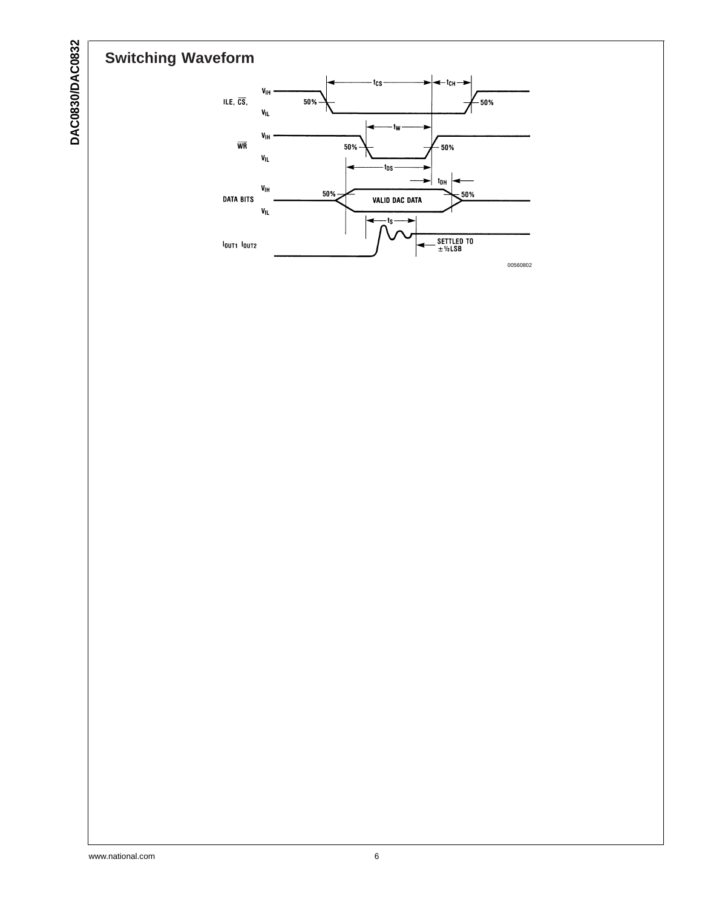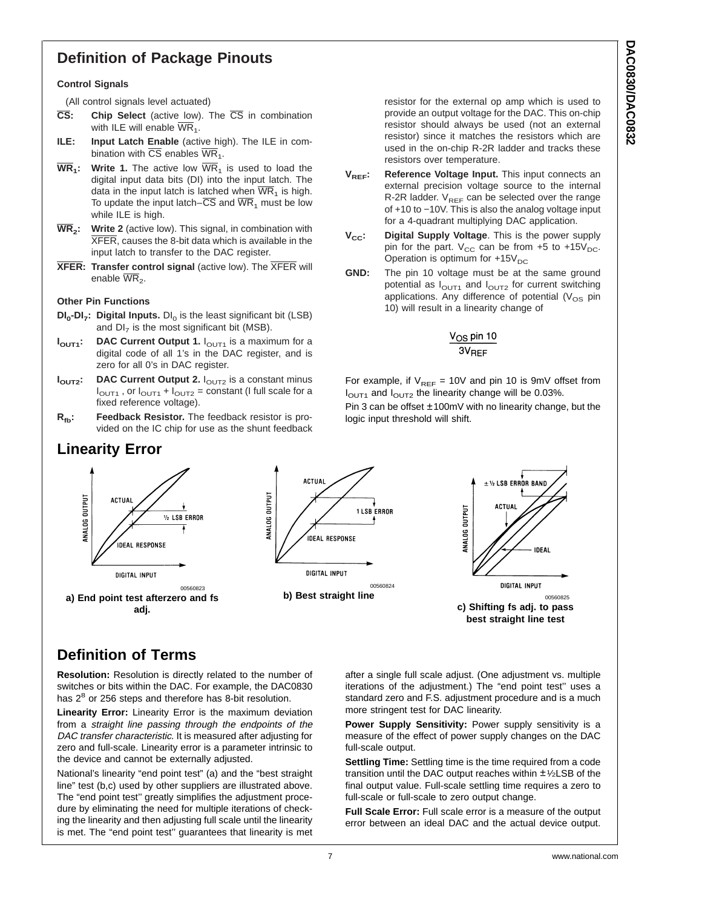## **Definition of Package Pinouts**

#### **Control Signals**

(All control signals level actuated)

- **CS: Chip Select** (active low). The CS in combination with ILE will enable  $\overline{\text{WR}}_1$ .
- **ILE: Input Latch Enable** (active high). The ILE in combination with  $\overline{\text{CS}}$  enables  $\overline{\text{WR}}_1$ .
- $\overline{WR}_1$ : Write 1. The active low  $\overline{WR}_1$  is used to load the digital input data bits (DI) into the input latch. The data in the input latch is latched when  $\overline{WR}_1$  is high. To update the input latch– $\overline{CS}$  and  $\overline{WR}_1$  must be low while ILE is high.
- **WR2: Write 2** (active low). This signal, in combination with XFER, causes the 8-bit data which is available in the input latch to transfer to the DAC register.
- **XFER: Transfer control signal** (active low). The XFER will enable  $\overline{\text{WR}}_2$ .

#### **Other Pin Functions**

- **DI<sub>0</sub>-DI<sub>7</sub>: Digital Inputs.** DI<sub>0</sub> is the least significant bit (LSB) and  $DI<sub>7</sub>$  is the most significant bit (MSB).
- **I<sub>OUT1</sub>:** DAC Current Output 1. I<sub>OUT1</sub> is a maximum for a digital code of all 1's in the DAC register, and is zero for all 0's in DAC register.
- **I<sub>OUT2</sub>:** DAC Current Output 2. I<sub>OUT2</sub> is a constant minus  $I<sub>OUT1</sub>$ , or  $I<sub>OUT1</sub> + I<sub>OUT2</sub>$  = constant (I full scale for a fixed reference voltage).
- **R<sub>fb</sub>:** Feedback Resistor. The feedback resistor is provided on the IC chip for use as the shunt feedback

### **Linearity Error**

resistor for the external op amp which is used to provide an output voltage for the DAC. This on-chip resistor should always be used (not an external resistor) since it matches the resistors which are used in the on-chip R-2R ladder and tracks these resistors over temperature.

- V<sub>RFF</sub>: Reference Voltage Input. This input connects an external precision voltage source to the internal R-2R ladder.  $V_{REF}$  can be selected over the range of +10 to −10V. This is also the analog voltage input for a 4-quadrant multiplying DAC application.
- **V<sub>CC</sub>:** Digital Supply Voltage. This is the power supply pin for the part.  $V_{CC}$  can be from +5 to +15 $V_{DC}$ . Operation is optimum for  $+15V_{DC}$
- **GND:** The pin 10 voltage must be at the same ground potential as  $I<sub>OUT1</sub>$  and  $I<sub>OUT2</sub>$  for current switching applications. Any difference of potential  $(V_{OS}$  pin 10) will result in a linearity change of



For example, if  $V_{REF}$  = 10V and pin 10 is 9mV offset from  $I<sub>OUT1</sub>$  and  $I<sub>OUT2</sub>$  the linearity change will be 0.03%. Pin 3 can be offset ±100mV with no linearity change, but the logic input threshold will shift.



## **Definition of Terms**

**Resolution:** Resolution is directly related to the number of switches or bits within the DAC. For example, the DAC0830 has  $2^8$  or 256 steps and therefore has 8-bit resolution.

**Linearity Error:** Linearity Error is the maximum deviation from a straight line passing through the endpoints of the DAC transfer characteristic. It is measured after adjusting for zero and full-scale. Linearity error is a parameter intrinsic to the device and cannot be externally adjusted.

National's linearity "end point test" (a) and the "best straight line" test (b,c) used by other suppliers are illustrated above. The "end point test'' greatly simplifies the adjustment procedure by eliminating the need for multiple iterations of checking the linearity and then adjusting full scale until the linearity is met. The "end point test'' guarantees that linearity is met after a single full scale adjust. (One adjustment vs. multiple iterations of the adjustment.) The "end point test'' uses a standard zero and F.S. adjustment procedure and is a much more stringent test for DAC linearity.

**Power Supply Sensitivity:** Power supply sensitivity is a measure of the effect of power supply changes on the DAC full-scale output.

**Settling Time:** Settling time is the time required from a code transition until the DAC output reaches within  $\pm$ 1/2LSB of the final output value. Full-scale settling time requires a zero to full-scale or full-scale to zero output change.

**Full Scale Error:** Full scale error is a measure of the output error between an ideal DAC and the actual device output.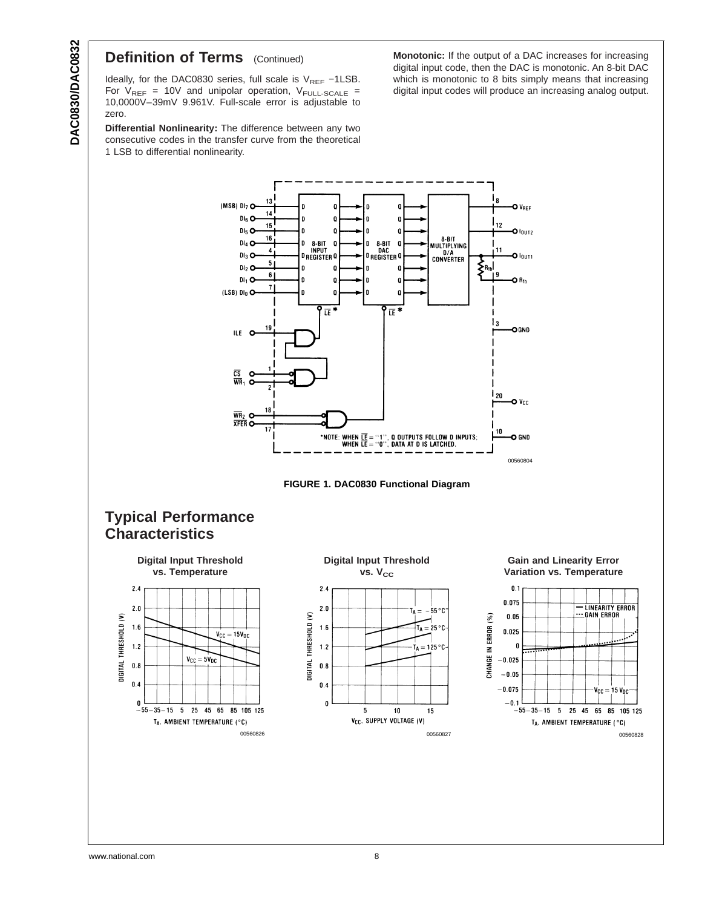## **Definition of Terms** (Continued)

Ideally, for the DAC0830 series, full scale is V<sub>REF</sub> −1LSB. For  $V_{REF}$  = 10V and unipolar operation,  $V_{FULL-SCALE}$  = 10,0000V–39mV 9.961V. Full-scale error is adjustable to zero.

**Differential Nonlinearity:** The difference between any two consecutive codes in the transfer curve from the theoretical 1 LSB to differential nonlinearity.

**Monotonic:** If the output of a DAC increases for increasing digital input code, then the DAC is monotonic. An 8-bit DAC which is monotonic to 8 bits simply means that increasing digital input codes will produce an increasing analog output.





### **Typical Performance Characteristics**





#### **Gain and Linearity Error Variation vs. Temperature**

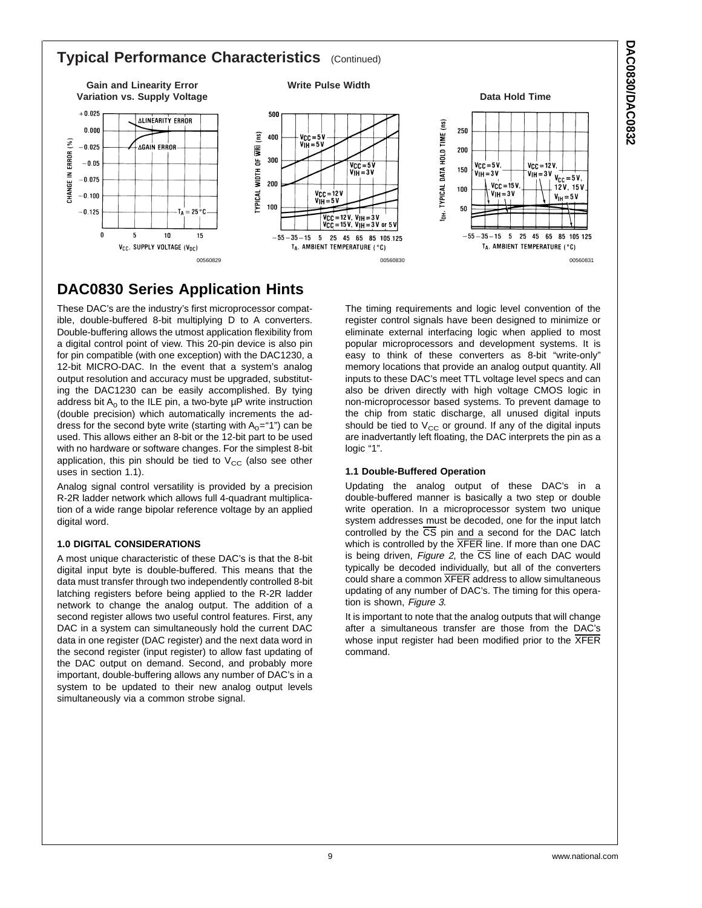### **Typical Performance Characteristics** (Continued)



## **DAC0830 Series Application Hints**

These DAC's are the industry's first microprocessor compatible, double-buffered 8-bit multiplying D to A converters. Double-buffering allows the utmost application flexibility from a digital control point of view. This 20-pin device is also pin for pin compatible (with one exception) with the DAC1230, a 12-bit MICRO-DAC. In the event that a system's analog output resolution and accuracy must be upgraded, substituting the DAC1230 can be easily accomplished. By tying address bit  $A_0$  to the ILE pin, a two-byte  $\mu$ P write instruction (double precision) which automatically increments the address for the second byte write (starting with  $A_0$ ="1") can be used. This allows either an 8-bit or the 12-bit part to be used with no hardware or software changes. For the simplest 8-bit application, this pin should be tied to  $V_{CC}$  (also see other uses in section 1.1).

Analog signal control versatility is provided by a precision R-2R ladder network which allows full 4-quadrant multiplication of a wide range bipolar reference voltage by an applied digital word.

#### **1.0 DIGITAL CONSIDERATIONS**

A most unique characteristic of these DAC's is that the 8-bit digital input byte is double-buffered. This means that the data must transfer through two independently controlled 8-bit latching registers before being applied to the R-2R ladder network to change the analog output. The addition of a second register allows two useful control features. First, any DAC in a system can simultaneously hold the current DAC data in one register (DAC register) and the next data word in the second register (input register) to allow fast updating of the DAC output on demand. Second, and probably more important, double-buffering allows any number of DAC's in a system to be updated to their new analog output levels simultaneously via a common strobe signal.

The timing requirements and logic level convention of the register control signals have been designed to minimize or eliminate external interfacing logic when applied to most popular microprocessors and development systems. It is easy to think of these converters as 8-bit "write-only" memory locations that provide an analog output quantity. All inputs to these DAC's meet TTL voltage level specs and can also be driven directly with high voltage CMOS logic in non-microprocessor based systems. To prevent damage to the chip from static discharge, all unused digital inputs should be tied to  $V_{CC}$  or ground. If any of the digital inputs are inadvertantly left floating, the DAC interprets the pin as a logic "1".

#### **1.1 Double-Buffered Operation**

Updating the analog output of these DAC's in a double-buffered manner is basically a two step or double write operation. In a microprocessor system two unique system addresses must be decoded, one for the input latch controlled by the  $\overline{CS}$  pin and a second for the DAC latch which is controlled by the  $\overline{\text{XFER}}$  line. If more than one DAC is being driven, [Figure](#page-9-0) 2, the  $\overline{CS}$  line of each DAC would typically be decoded individually, but all of the converters could share a common XFER address to allow simultaneous updating of any number of DAC's. The timing for this opera-tion is shown, [Figure](#page-9-0) 3.

It is important to note that the analog outputs that will change after a simultaneous transfer are those from the DAC's whose input register had been modified prior to the XFER command.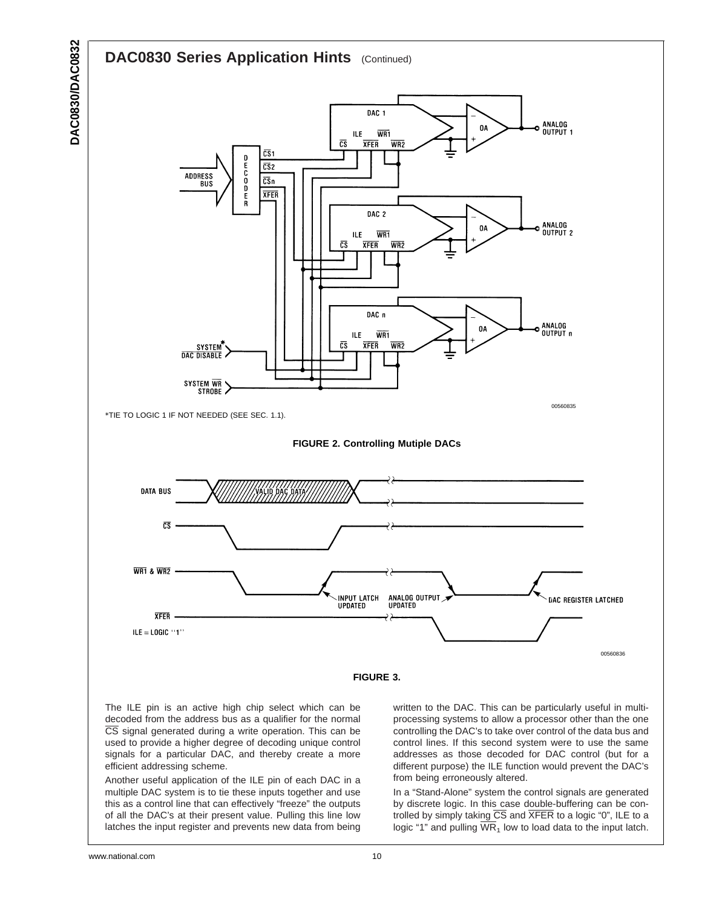<span id="page-9-0"></span>

The ILE pin is an active high chip select which can be decoded from the address bus as a qualifier for the normal CS signal generated during a write operation. This can be used to provide a higher degree of decoding unique control signals for a particular DAC, and thereby create a more efficient addressing scheme.

Another useful application of the ILE pin of each DAC in a multiple DAC system is to tie these inputs together and use this as a control line that can effectively "freeze" the outputs of all the DAC's at their present value. Pulling this line low latches the input register and prevents new data from being written to the DAC. This can be particularly useful in multiprocessing systems to allow a processor other than the one controlling the DAC's to take over control of the data bus and control lines. If this second system were to use the same addresses as those decoded for DAC control (but for a different purpose) the ILE function would prevent the DAC's from being erroneously altered.

In a "Stand-Alone" system the control signals are generated by discrete logic. In this case double-buffering can be controlled by simply taking  $\overline{CS}$  and  $\overline{XFER}$  to a logic "0", ILE to a logic "1" and pulling  $\overline{WR}_1$  low to load data to the input latch.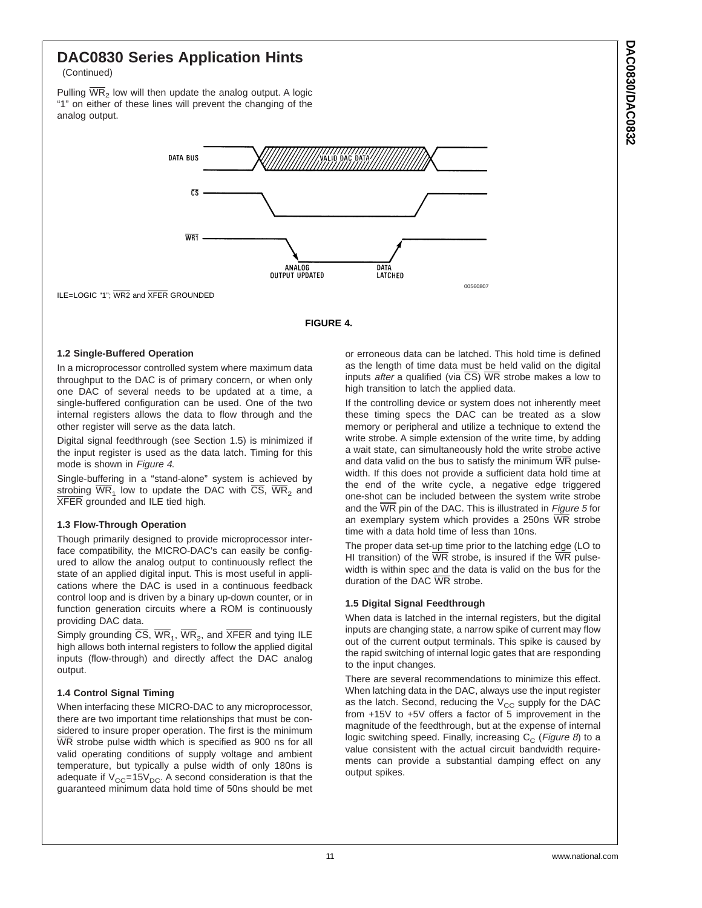## **DAC0830 Series Application Hints**

(Continued)

Pulling  $\overline{WR}_2$  low will then update the analog output. A logic "1" on either of these lines will prevent the changing of the analog output.



ILE=LOGIC "1"; WR2 and XFER GROUNDED

#### **FIGURE 4.**

#### **1.2 Single-Buffered Operation**

In a microprocessor controlled system where maximum data throughput to the DAC is of primary concern, or when only one DAC of several needs to be updated at a time, a single-buffered configuration can be used. One of the two internal registers allows the data to flow through and the other register will serve as the data latch.

Digital signal feedthrough (see Section 1.5) is minimized if the input register is used as the data latch. Timing for this mode is shown in Figure <sup>4</sup>.

Single-buffering in a "stand-alone" system is achieved by strobing  $\overline{WR}_1$  low to update the DAC with  $\overline{CS}$ ,  $\overline{WR}_2$  and XFER grounded and ILE tied high.

#### **1.3 Flow-Through Operation**

Though primarily designed to provide microprocessor interface compatibility, the MICRO-DAC's can easily be configured to allow the analog output to continuously reflect the state of an applied digital input. This is most useful in applications where the DAC is used in a continuous feedback control loop and is driven by a binary up-down counter, or in function generation circuits where a ROM is continuously providing DAC data.

Simply grounding  $\overline{CS}$ ,  $\overline{WR}_1$ ,  $\overline{WR}_2$ , and  $\overline{XFER}$  and tying ILE high allows both internal registers to follow the applied digital inputs (flow-through) and directly affect the DAC analog output.

#### **1.4 Control Signal Timing**

When interfacing these MICRO-DAC to any microprocessor, there are two important time relationships that must be considered to insure proper operation. The first is the minimum WR strobe pulse width which is specified as 900 ns for all valid operating conditions of supply voltage and ambient temperature, but typically a pulse width of only 180ns is adequate if  $V_{CC}$ =15 $V_{DC}$ . A second consideration is that the guaranteed minimum data hold time of 50ns should be met

or erroneous data can be latched. This hold time is defined as the length of time data must be held valid on the digital inputs *after* a qualified (via  $\overline{CS}$ ) WR strobe makes a low to high transition to latch the applied data.

If the controlling device or system does not inherently meet these timing specs the DAC can be treated as a slow memory or peripheral and utilize a technique to extend the write strobe. A simple extension of the write time, by adding a wait state, can simultaneously hold the write strobe active and data valid on the bus to satisfy the minimum  $\overline{\text{WR}}$  pulsewidth. If this does not provide a sufficient data hold time at the end of the write cycle, a negative edge triggered one-shot can be included between the system write strobe and the  $\overline{\text{WR}}$  pin of the DAC. This is illustrated in *[Figure](#page-11-0) 5* for an exemplary system which provides a 250ns  $\overline{\text{WR}}$  strobe time with a data hold time of less than 10ns.

The proper data set-up time prior to the latching edge (LO to HI transition) of the  $\overline{WR}$  strobe, is insured if the  $\overline{WR}$  pulsewidth is within spec and the data is valid on the bus for the duration of the DAC WR strobe.

#### **1.5 Digital Signal Feedthrough**

When data is latched in the internal registers, but the digital inputs are changing state, a narrow spike of current may flow out of the current output terminals. This spike is caused by the rapid switching of internal logic gates that are responding to the input changes.

There are several recommendations to minimize this effect. When latching data in the DAC, always use the input register as the latch. Second, reducing the  $V_{CC}$  supply for the DAC from +15V to +5V offers a factor of 5 improvement in the magnitude of the feedthrough, but at the expense of internal logic switching speed. Finally, increasing  $C_c$  ([Figure](#page-13-0) 8) to a value consistent with the actual circuit bandwidth requirements can provide a substantial damping effect on any output spikes.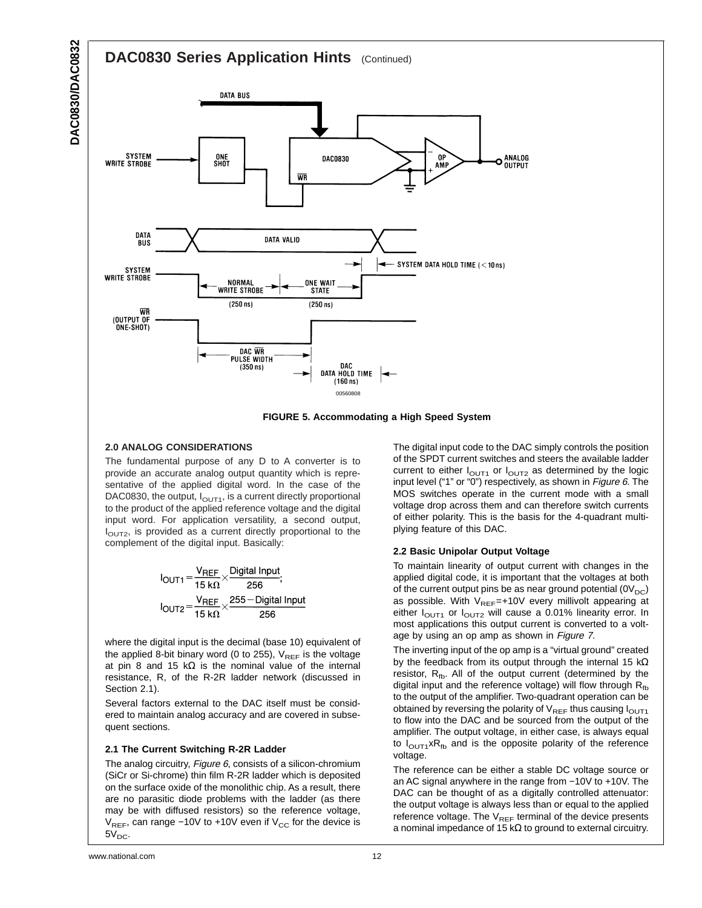<span id="page-11-0"></span>

**FIGURE 5. Accommodating a High Speed System**

#### **2.0 ANALOG CONSIDERATIONS**

The fundamental purpose of any D to A converter is to provide an accurate analog output quantity which is representative of the applied digital word. In the case of the DAC0830, the output,  $I_{\text{OUT1}}$ , is a current directly proportional to the product of the applied reference voltage and the digital input word. For application versatility, a second output,  $I_{\text{OUT2}}$ , is provided as a current directly proportional to the complement of the digital input. Basically:

$$
I_{\text{OUT1}} = \frac{V_{\text{REF}}}{15 \text{ k}\Omega} \times \frac{\text{Digital Input}}{256};
$$
  

$$
I_{\text{OUT2}} = \frac{V_{\text{REF}}}{15 \text{ k}\Omega} \times \frac{255 - \text{Digital Input}}{256}
$$

where the digital input is the decimal (base 10) equivalent of the applied 8-bit binary word (0 to 255),  $V_{REF}$  is the voltage at pin 8 and 15 kΩ is the nominal value of the internal resistance, R, of the R-2R ladder network (discussed in Section 2.1).

Several factors external to the DAC itself must be considered to maintain analog accuracy and are covered in subsequent sections.

#### **2.1 The Current Switching R-2R Ladder**

The analog circuitry, [Figure](#page-12-0) 6, consists of a silicon-chromium (SiCr or Si-chrome) thin film R-2R ladder which is deposited on the surface oxide of the monolithic chip. As a result, there are no parasitic diode problems with the ladder (as there may be with diffused resistors) so the reference voltage,  $V_{REF}$ , can range −10V to +10V even if  $V_{CC}$  for the device is  $5V<sub>DC</sub>$ .

The digital input code to the DAC simply controls the position of the SPDT current switches and steers the available ladder current to either  $I<sub>OUT1</sub>$  or  $I<sub>OUT2</sub>$  as determined by the logic input level ("1" or "0") respectively, as shown in [Figure](#page-12-0) 6. The MOS switches operate in the current mode with a small voltage drop across them and can therefore switch currents of either polarity. This is the basis for the 4-quadrant multiplying feature of this DAC.

#### **2.2 Basic Unipolar Output Voltage**

To maintain linearity of output current with changes in the applied digital code, it is important that the voltages at both of the current output pins be as near ground potential  $(0V_{DC})$ as possible. With  $V_{REF}=+10V$  every millivolt appearing at either  $I<sub>OUT1</sub>$  or  $I<sub>OUT2</sub>$  will cause a 0.01% linearity error. In most applications this output current is converted to a voltage by using an op amp as shown in [Figure](#page-12-0) <sup>7</sup>.

The inverting input of the op amp is a "virtual ground" created by the feedback from its output through the internal 15 k $\Omega$ resistor,  $R_{fb}$ . All of the output current (determined by the digital input and the reference voltage) will flow through  $R_{fb}$ to the output of the amplifier. Two-quadrant operation can be obtained by reversing the polarity of  $V_{REF}$  thus causing  $I_{OUT1}$ to flow into the DAC and be sourced from the output of the amplifier. The output voltage, in either case, is always equal to  $I_{\text{OUT1}} \times R_{\text{fb}}$  and is the opposite polarity of the reference voltage.

The reference can be either a stable DC voltage source or an AC signal anywhere in the range from −10V to +10V. The DAC can be thought of as a digitally controlled attenuator: the output voltage is always less than or equal to the applied reference voltage. The  $V_{REF}$  terminal of the device presents a nominal impedance of 15 kΩ to ground to external circuitry.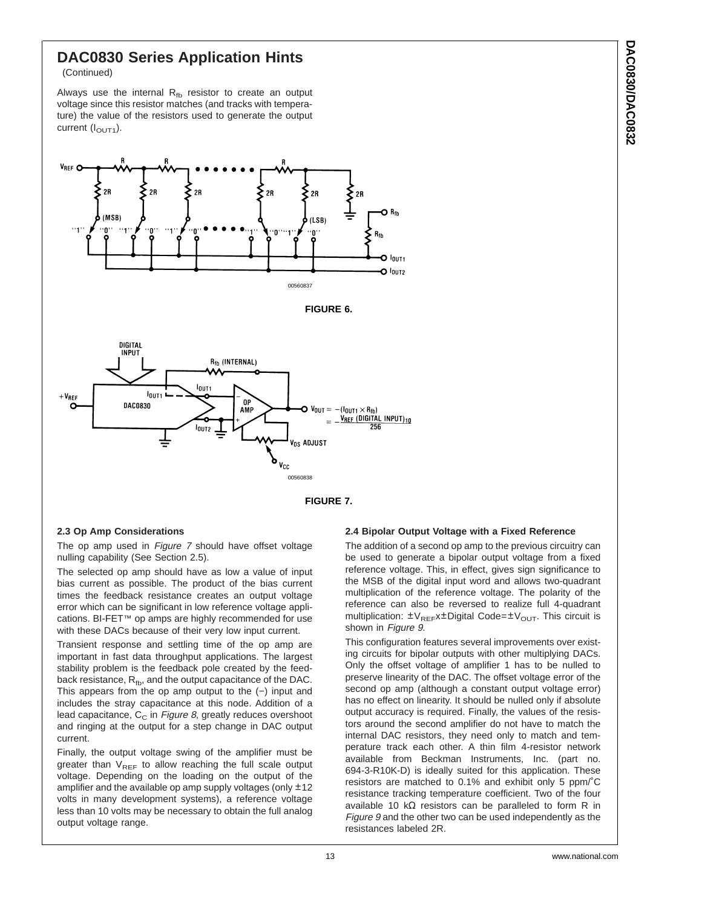## <span id="page-12-0"></span>**DAC0830 Series Application Hints**

(Continued)

Always use the internal  $R_{fb}$  resistor to create an output voltage since this resistor matches (and tracks with temperature) the value of the resistors used to generate the output current  $(I_{\text{OUT1}})$ .









#### **2.3 Op Amp Considerations**

The op amp used in Figure 7 should have offset voltage nulling capability (See Section 2.5).

The selected op amp should have as low a value of input bias current as possible. The product of the bias current times the feedback resistance creates an output voltage error which can be significant in low reference voltage applications. BI-FET™ op amps are highly recommended for use with these DACs because of their very low input current.

Transient response and settling time of the op amp are important in fast data throughput applications. The largest stability problem is the feedback pole created by the feedback resistance,  $R_{fb}$ , and the output capacitance of the DAC. This appears from the op amp output to the (−) input and includes the stray capacitance at this node. Addition of a lead capacitance,  $C_{\text{C}}$  in [Figure](#page-13-0) 8, greatly reduces overshoot and ringing at the output for a step change in DAC output current.

Finally, the output voltage swing of the amplifier must be greater than  $V_{REF}$  to allow reaching the full scale output voltage. Depending on the loading on the output of the amplifier and the available op amp supply voltages (only  $\pm 12$ ) volts in many development systems), a reference voltage less than 10 volts may be necessary to obtain the full analog output voltage range.

#### **2.4 Bipolar Output Voltage with a Fixed Reference**

The addition of a second op amp to the previous circuitry can be used to generate a bipolar output voltage from a fixed reference voltage. This, in effect, gives sign significance to the MSB of the digital input word and allows two-quadrant multiplication of the reference voltage. The polarity of the reference can also be reversed to realize full 4-quadrant multiplication:  $\pm V_{REF}x \pm$ Digital Code= $\pm V_{OUT}$ . This circuit is shown in [Figure](#page-14-0) 9.

This configuration features several improvements over existing circuits for bipolar outputs with other multiplying DACs. Only the offset voltage of amplifier 1 has to be nulled to preserve linearity of the DAC. The offset voltage error of the second op amp (although a constant output voltage error) has no effect on linearity. It should be nulled only if absolute output accuracy is required. Finally, the values of the resistors around the second amplifier do not have to match the internal DAC resistors, they need only to match and temperature track each other. A thin film 4-resistor network available from Beckman Instruments, Inc. (part no. 694-3-R10K-D) is ideally suited for this application. These resistors are matched to 0.1% and exhibit only 5 ppm/˚C resistance tracking temperature coefficient. Two of the four available 10 kΩ resistors can be paralleled to form R in [Figure](#page-14-0) 9 and the other two can be used independently as the resistances labeled 2R.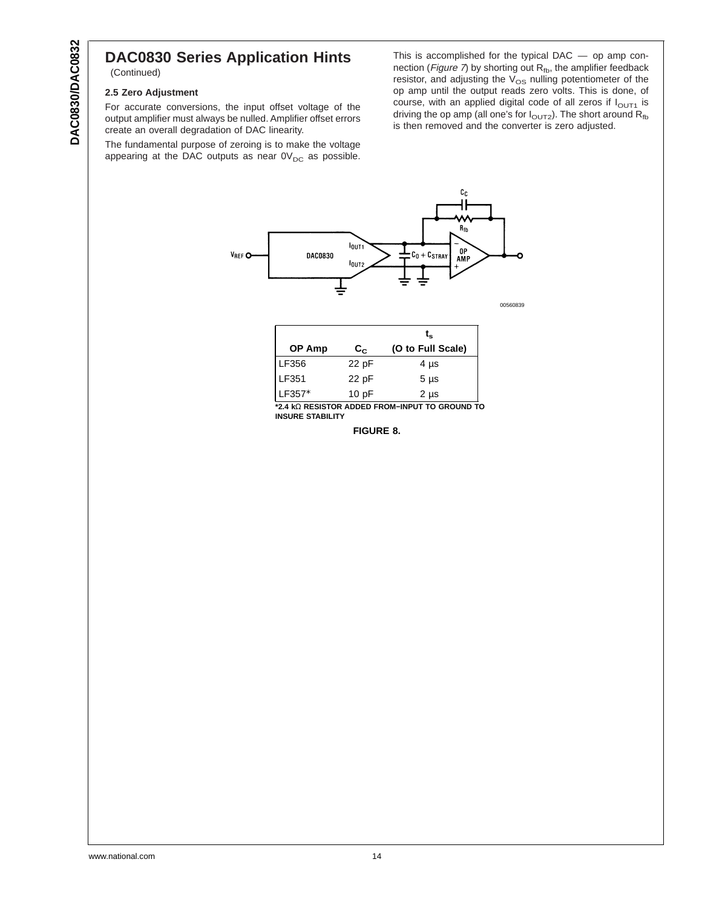#### <span id="page-13-0"></span>**DAC0830 Series Application Hints** (Continued)

#### **2.5 Zero Adjustment**

For accurate conversions, the input offset voltage of the output amplifier must always be nulled. Amplifier offset errors create an overall degradation of DAC linearity.

The fundamental purpose of zeroing is to make the voltage appearing at the DAC outputs as near  $0V_{DC}$  as possible.

This is accomplished for the typical DAC — op amp con-nection ([Figure](#page-12-0) 7) by shorting out  $R_{fb}$ , the amplifier feedback resistor, and adjusting the  $V_{OS}$  nulling potentiometer of the op amp until the output reads zero volts. This is done, of course, with an applied digital code of all zeros if  $I<sub>OUT1</sub>$  is driving the op amp (all one's for I $_{\odot \cup \sf{T2}}$ ). The short around  $\mathsf{R}_{\sf fb}$ is then removed and the converter is zero adjusted.



00560839

|        |                       | t.                |
|--------|-----------------------|-------------------|
| OP Amp | $\mathbf{c}_{\alpha}$ | (O to Full Scale) |
| LF356  | 22 pF                 | $4 \mu s$         |
| LF351  | 22 pF                 | $5 \mu s$         |
| LF357* | 10pF                  | $2 \mu s$         |

**\*2.4 k**Ω **RESISTOR ADDED FROM−INPUT TO GROUND TO INSURE STABILITY**

**FIGURE 8.**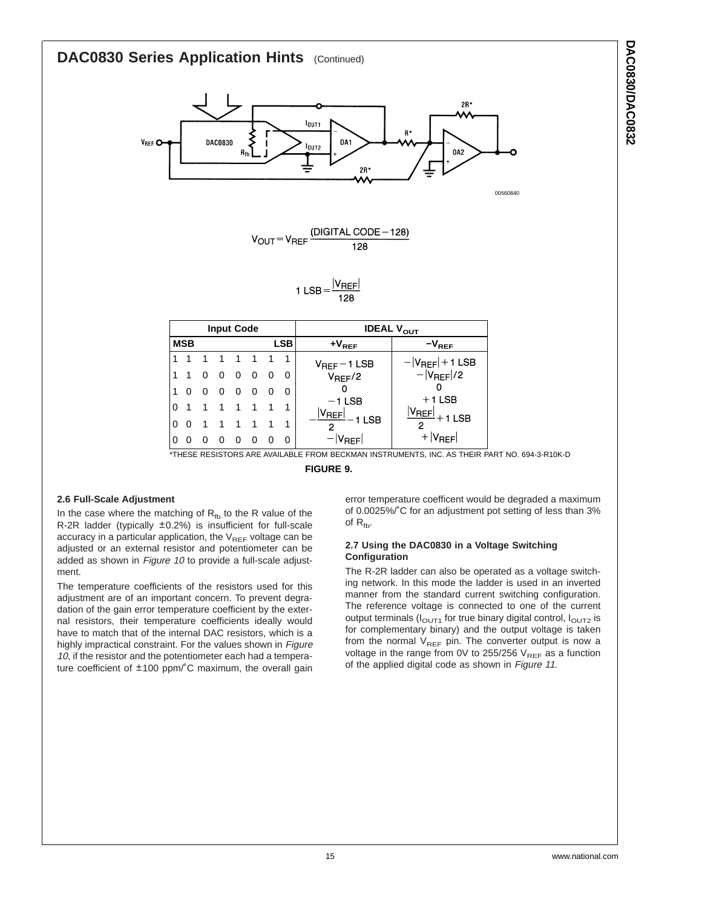## <span id="page-14-0"></span>**DAC0830 Series Application Hints** (Continued)





1 LSB =  $\frac{|V_{REF}|}{128}$ 

|          |            |                | <b>Input Code</b> |                         |                |          |          | <b>IDEAL V<sub>OUT</sub></b>           |                                                   |  |  |
|----------|------------|----------------|-------------------|-------------------------|----------------|----------|----------|----------------------------------------|---------------------------------------------------|--|--|
|          | MSB<br>LSB |                | $+V_{REF}$        |                         | $-V_{REF}$     |          |          |                                        |                                                   |  |  |
|          |            |                |                   |                         | -1             |          |          | $V_{REF}-1$ LSB                        |                                                   |  |  |
|          | $1\quad 0$ |                | - 0               | $\overline{0}$          | $\Omega$       | - റ      | 0        | $V_{REF}/2$                            | $- V_{REF} +1$ LSB<br>- $ V_{REF} /2$             |  |  |
|          | $\Omega$   | $\overline{0}$ | $\Omega$          | $\overline{0}$          | $\Omega$       | $\Omega$ |          |                                        |                                                   |  |  |
| $\Omega$ |            |                | $\overline{1}$    | $\overline{1}$          | $\overline{1}$ |          |          | $-1$ LSB<br>$\frac{ V_{REF} }{-1}$ LSB | $+1$ LSB<br>$\frac{ V_{REF} }{ V_{REF} }$ + 1 LSB |  |  |
| 0        |            |                | $\overline{1}$    | $\overline{\mathbf{1}}$ | $\overline{1}$ |          |          |                                        |                                                   |  |  |
| 0        |            |                |                   | $\Omega$                | $\Omega$       |          | $\Omega$ | $- V_{REF} $                           | $+ V_{REF} $                                      |  |  |

\*THESE RESISTORS ARE AVAILABLE FROM BECKMAN INSTRUMENTS, INC. AS THEIR PART NO. 694-3-R10K-D

**FIGURE 9.**

#### **2.6 Full-Scale Adjustment**

In the case where the matching of  $R_{fb}$  to the R value of the R-2R ladder (typically ±0.2%) is insufficient for full-scale accuracy in a particular application, the  $V_{REF}$  voltage can be adjusted or an external resistor and potentiometer can be added as shown in [Figure](#page-15-0) 10 to provide a full-scale adjustment.

The temperature coefficients of the resistors used for this adjustment are of an important concern. To prevent degradation of the gain error temperature coefficient by the external resistors, their temperature coefficients ideally would have to match that of the internal DAC resistors, which is a highly impractical constraint. For the values shown in [Figure](#page-15-0) [10](#page-15-0), if the resistor and the potentiometer each had a temperature coefficient of ±100 ppm/˚C maximum, the overall gain

error temperature coefficent would be degraded a maximum of 0.0025%/˚C for an adjustment pot setting of less than 3% of  $R_{\text{fb}}$ .

#### **2.7 Using the DAC0830 in a Voltage Switching Configuration**

The R-2R ladder can also be operated as a voltage switching network. In this mode the ladder is used in an inverted manner from the standard current switching configuration. The reference voltage is connected to one of the current output terminals ( $I<sub>OUT1</sub>$  for true binary digital control,  $I<sub>OUT2</sub>$  is for complementary binary) and the output voltage is taken from the normal  $V_{REF}$  pin. The converter output is now a voltage in the range from 0V to 255/256  $V_{REF}$  as a function of the applied digital code as shown in [Figure](#page-15-0) <sup>11</sup>.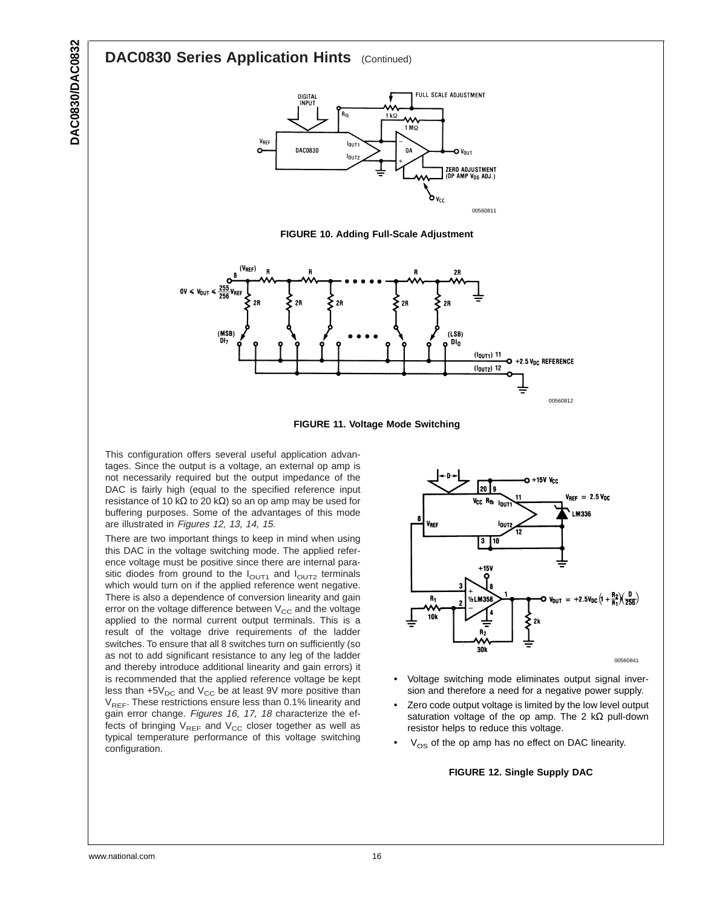### <span id="page-15-0"></span>**DAC0830 Series Application Hints** (Continued)



**FIGURE 10. Adding Full-Scale Adjustment**





This configuration offers several useful application advantages. Since the output is a voltage, an external op amp is not necessarily required but the output impedance of the DAC is fairly high (equal to the specified reference input resistance of 10 kΩ to 20 kΩ) so an op amp may be used for buffering purposes. Some of the advantages of this mode are illustrated in Figures 12, [13](#page-16-0), [14](#page-16-0), [15](#page-17-0).

There are two important things to keep in mind when using this DAC in the voltage switching mode. The applied reference voltage must be positive since there are internal parasitic diodes from ground to the  $I<sub>OUT1</sub>$  and  $I<sub>OUT2</sub>$  terminals which would turn on if the applied reference went negative. There is also a dependence of conversion linearity and gain error on the voltage difference between  $V_{CC}$  and the voltage applied to the normal current output terminals. This is a result of the voltage drive requirements of the ladder switches. To ensure that all 8 switches turn on sufficiently (so as not to add significant resistance to any leg of the ladder and thereby introduce additional linearity and gain errors) it is recommended that the applied reference voltage be kept less than  $+5V_{DC}$  and  $V_{CC}$  be at least 9V more positive than  $V_{REF}$ . These restrictions ensure less than 0.1% linearity and gain error change. Figures [16](#page-17-0), [17](#page-17-0), [18](#page-18-0) characterize the effects of bringing  $V_{REF}$  and  $V_{CC}$  closer together as well as typical temperature performance of this voltage switching configuration.



- Voltage switching mode eliminates output signal inversion and therefore a need for a negative power supply.
- Zero code output voltage is limited by the low level output saturation voltage of the op amp. The 2 k $\Omega$  pull-down resistor helps to reduce this voltage.
- $V_{OS}$  of the op amp has no effect on DAC linearity.

#### **FIGURE 12. Single Supply DAC**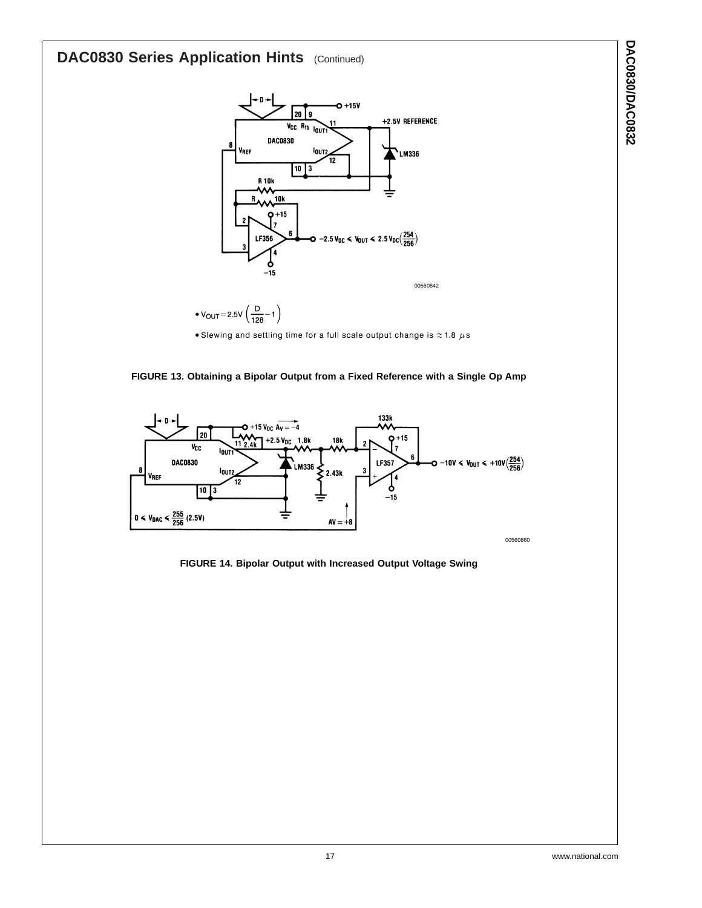## <span id="page-16-0"></span>**DAC0830 Series Application Hints** (Continued)



•  $V_{OUT} = 2.5V \left( \frac{D}{128} - 1 \right)$ 

• Slewing and settling time for a full scale output change is  $\approx$  1.8  $\mu$ s





**FIGURE 14. Bipolar Output with Increased Output Voltage Swing**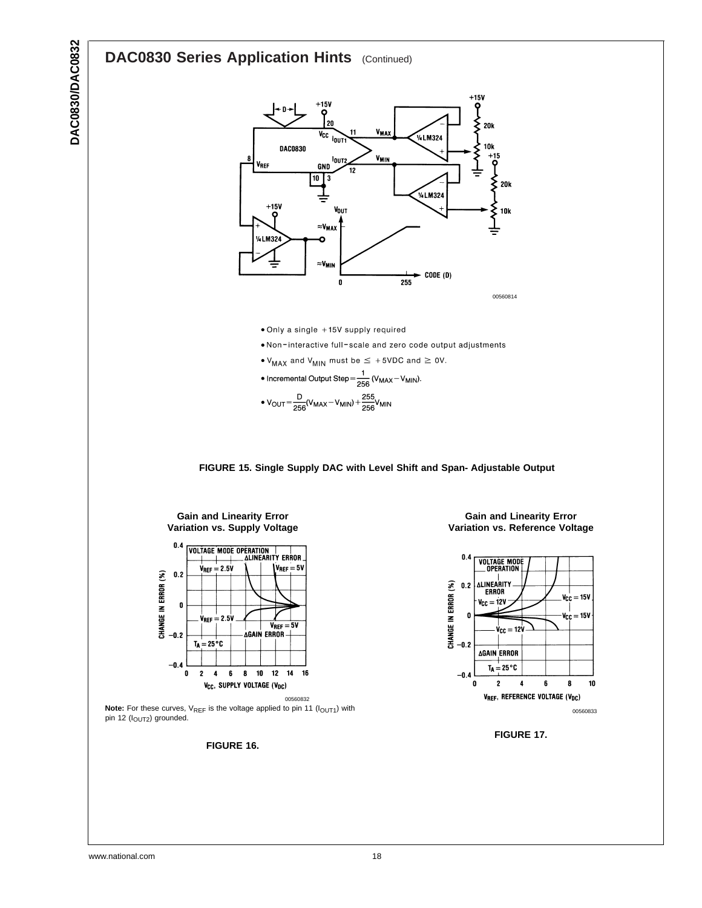## **DAC0830 Series Application Hints** (Continued)

**DAC0830/DAC0832**

<span id="page-17-0"></span>**DAC0830/DAC0832** 



www.national.com 18

10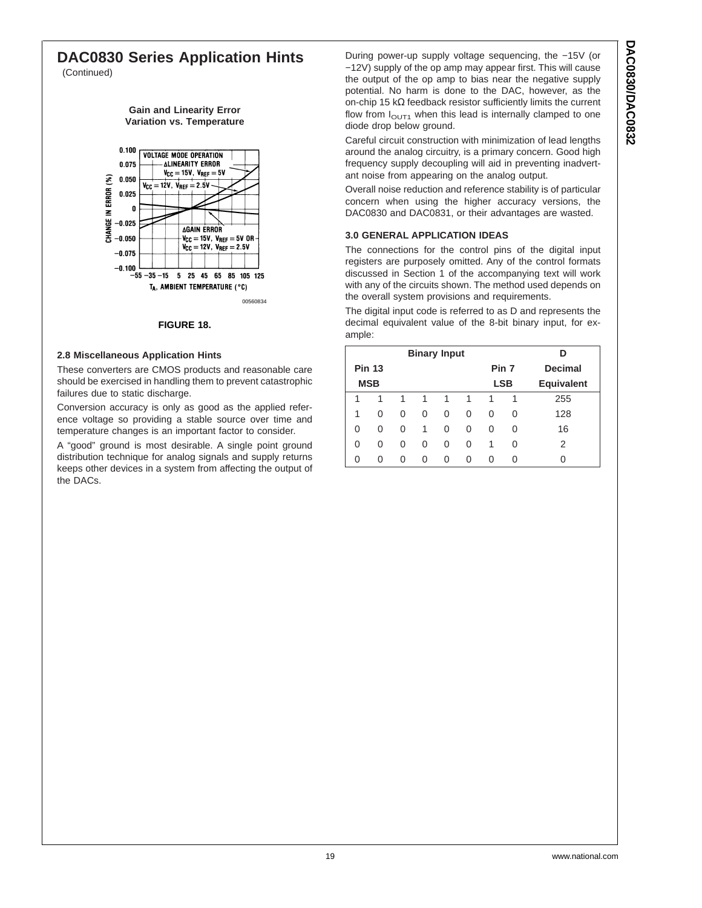#### <span id="page-18-0"></span>**DAC0830 Series Application Hints** (Continued)

**Gain and Linearity Error Variation vs. Temperature**



#### **FIGURE 18.**

#### **2.8 Miscellaneous Application Hints**

These converters are CMOS products and reasonable care should be exercised in handling them to prevent catastrophic failures due to static discharge.

Conversion accuracy is only as good as the applied reference voltage so providing a stable source over time and temperature changes is an important factor to consider.

A "good" ground is most desirable. A single point ground distribution technique for analog signals and supply returns keeps other devices in a system from affecting the output of the DACs.

During power-up supply voltage sequencing, the −15V (or −12V) supply of the op amp may appear first. This will cause the output of the op amp to bias near the negative supply potential. No harm is done to the DAC, however, as the on-chip 15 kΩ feedback resistor sufficiently limits the current flow from  $I<sub>OUT1</sub>$  when this lead is internally clamped to one diode drop below ground.

Careful circuit construction with minimization of lead lengths around the analog circuitry, is a primary concern. Good high frequency supply decoupling will aid in preventing inadvertant noise from appearing on the analog output.

Overall noise reduction and reference stability is of particular concern when using the higher accuracy versions, the DAC0830 and DAC0831, or their advantages are wasted.

#### **3.0 GENERAL APPLICATION IDEAS**

The connections for the control pins of the digital input registers are purposely omitted. Any of the control formats discussed in Section 1 of the accompanying text will work with any of the circuits shown. The method used depends on the overall system provisions and requirements.

The digital input code is referred to as D and represents the decimal equivalent value of the 8-bit binary input, for example:

|   |               |   | <b>Binary Input</b> |   |          |            |   |                   |
|---|---------------|---|---------------------|---|----------|------------|---|-------------------|
|   | <b>Pin 13</b> |   |                     |   |          | Pin 7      |   | <b>Decimal</b>    |
|   | <b>MSB</b>    |   |                     |   |          | <b>LSB</b> |   | <b>Equivalent</b> |
| 1 | 1             | 1 | 1                   | 1 | 1        | 1          | 1 | 255               |
| 1 | 0             | 0 | 0                   | 0 | 0        | 0          | 0 | 128               |
| 0 | 0             | 0 | 1                   | 0 | 0        | 0          | 0 | 16                |
| 0 | 0             | 0 | 0                   | 0 | 0        | 1          | O | 2                 |
| 0 | 0             | O | U                   | 0 | $\Omega$ | O          | O |                   |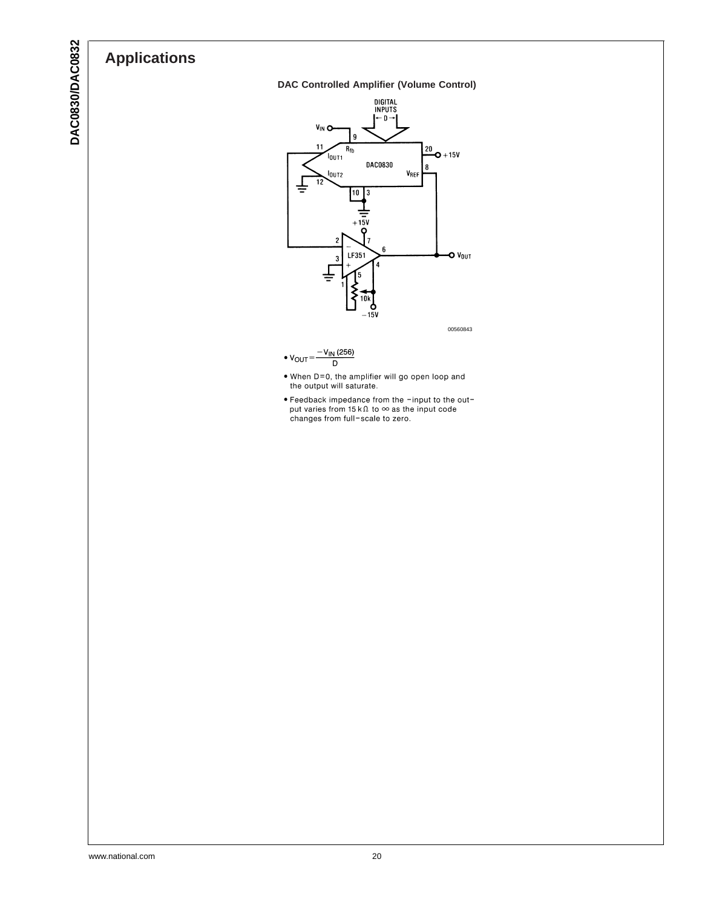## **Applications**





00560843

- $-V_{IN}$  (256)  $\bullet$   $V_{OUT}$  $\overline{D}$
- When D=0, the amplifier will go open loop and<br>the output will saturate.
- Feedback impedance from the -input to the out-<br>put varies from 15 k $\Omega$  to  $\infty$  as the input code<br>changes from full-scale to zero.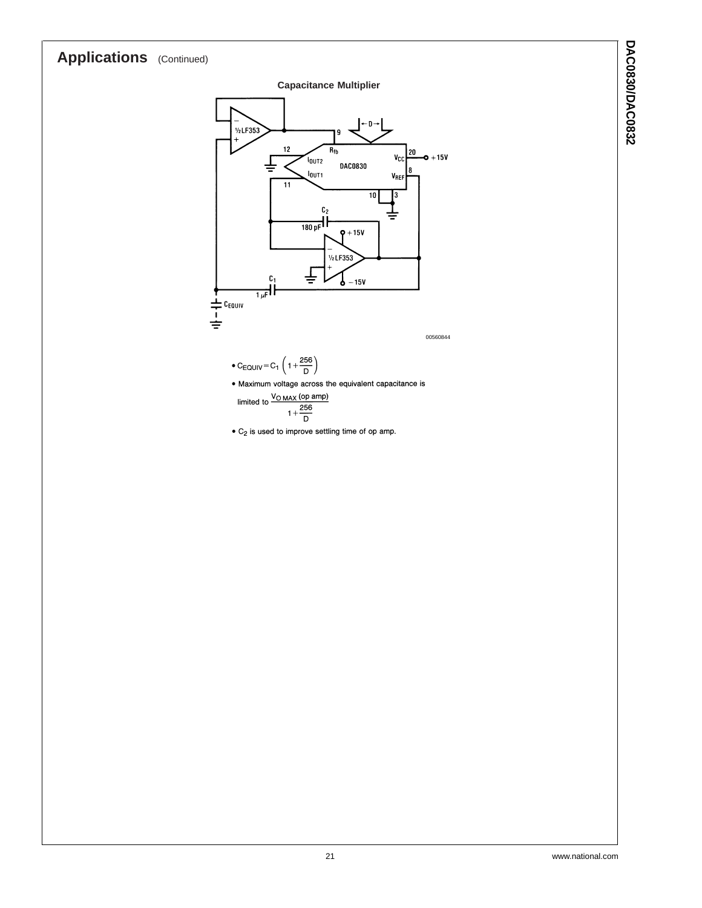## **Applications** (Continued)

#### **Capacitance Multiplier**



$$
C_{\text{EQUIV}}\!=\!C_1\left(1+\!\frac{256}{D}\right)
$$

· Maximum voltage across the equivalent capacitance is

limited to 
$$
\frac{V_{\text{O MAX}}\text{(op amp)}}{1 + \frac{256}{\text{D}}}
$$

 $\bullet$  C<sub>2</sub> is used to improve settling time of op amp.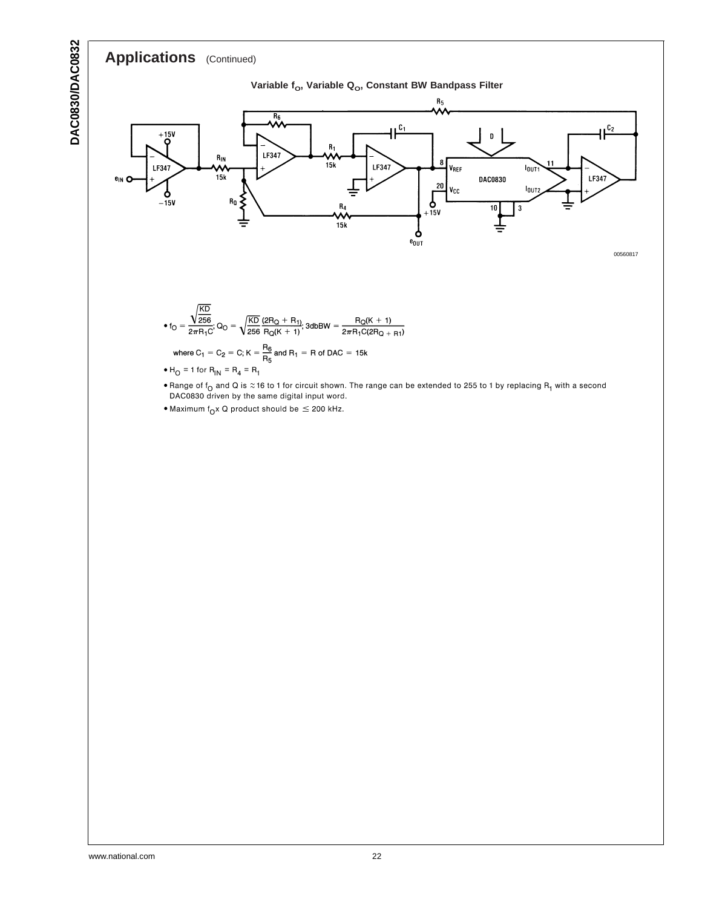## **Applications** (Continued)

**DAC0830/DAC0832**

**DAC0830/DAC0832** 



- Range of f<sub>O</sub> and Q is  $\approx$  16 to 1 for circuit shown. The range can be extended to 255 to 1 by replacing R<sub>1</sub> with a second DAC0830 driven by the same digital input word.
- Maximum  $f_{Q}x$  Q product should be  $\leq$  200 kHz.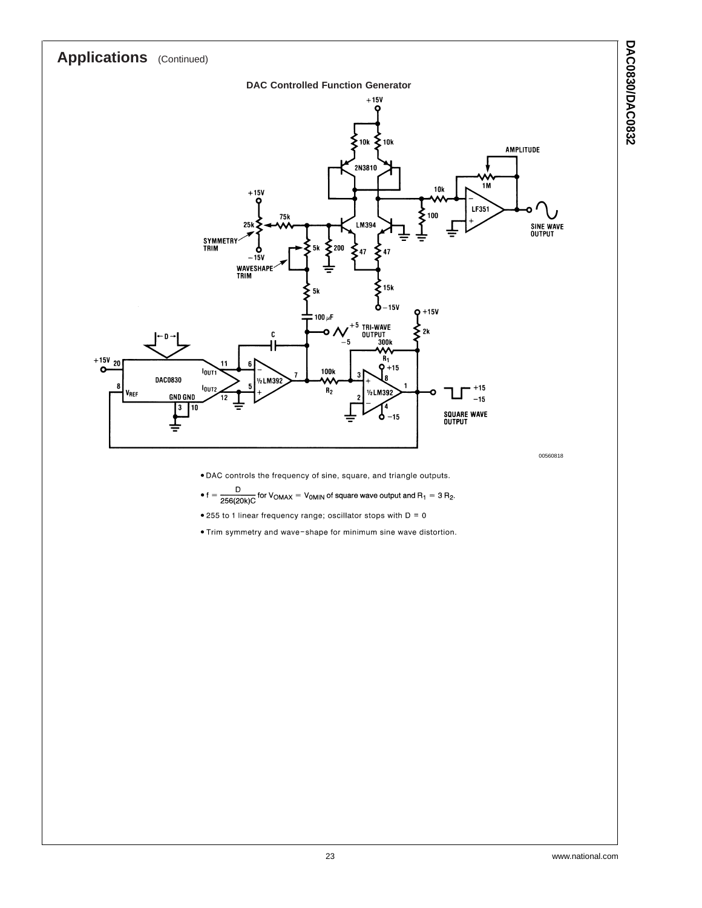

- . DAC controls the frequency of sine, square, and triangle outputs.
- $f = \frac{D}{256(20k)C}$  for  $V_{OMAX} = V_{OMIN}$  of square wave output and  $R_1 = 3 R_2$ .
- $\bullet$  255 to 1 linear frequency range; oscillator stops with  $D = 0$
- . Trim symmetry and wave-shape for minimum sine wave distortion.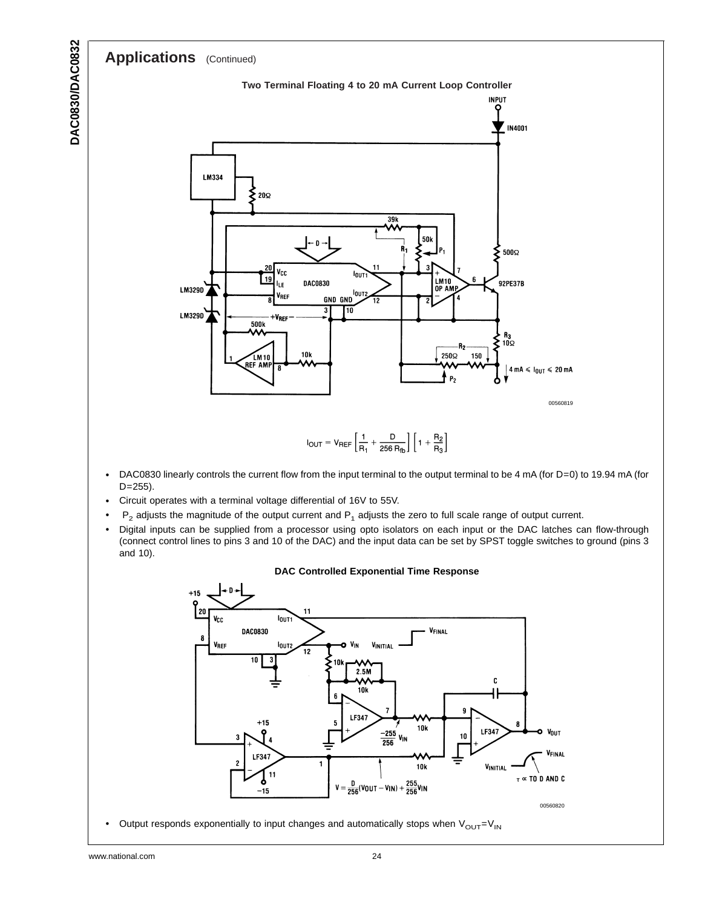

 $V = \frac{D}{256}(V_{0}U_{T} - V_{1}N) + \frac{255}{256}V_{1}N$ 

LF347

 $10<sub>k</sub>$ 

**10k** 

 $\frac{-255}{256}$  V<sub>IN</sub>

LF347

**VINITIAL** 

 $10$ 

Output responds exponentially to input changes and automatically stops when  $V_{\text{OUT}}=V_{\text{IN}}$ 

1

 $+15$ 

የ

LF347

Ò

 $-15$ 

 $\overline{4}$ 

11

3

00560820

 $\tau \propto$  TO D AND C

**VOUT** 

**FINAL**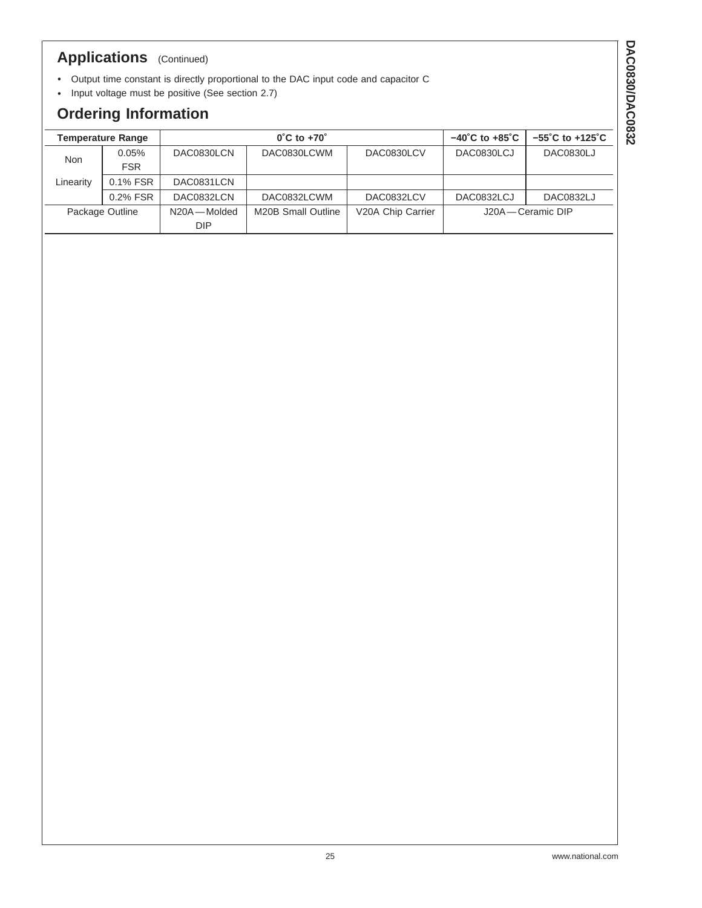## **Applications** (Continued)

- Output time constant is directly proportional to the DAC input code and capacitor C
- Input voltage must be positive (See section 2.7)

## **Ordering Information**

|                 | <b>Temperature Range</b> |             | $0^{\circ}$ C to +70 $^{\circ}$ | $-40^{\circ}$ C to $+85^{\circ}$ C | $-55^{\circ}$ C to $+125^{\circ}$ C |                    |  |
|-----------------|--------------------------|-------------|---------------------------------|------------------------------------|-------------------------------------|--------------------|--|
| <b>Non</b>      | $0.05\%$                 | DAC0830LCN  | DAC0830LCWM                     | DAC0830LCV                         | DAC0830LCJ                          | DAC0830LJ          |  |
|                 | <b>FSR</b>               |             |                                 |                                    |                                     |                    |  |
| Linearity       | 0.1% FSR                 | DAC0831LCN  |                                 |                                    |                                     |                    |  |
|                 | $0.2\%$ FSR              | DAC0832LCN  | DAC0832LCWM                     | DAC0832LCV                         | DAC0832LCJ                          | DAC0832LJ          |  |
| Package Outline |                          | N20A-Molded | M20B Small Outline              | V20A Chip Carrier                  |                                     | J20A - Ceramic DIP |  |
|                 |                          | <b>DIP</b>  |                                 |                                    |                                     |                    |  |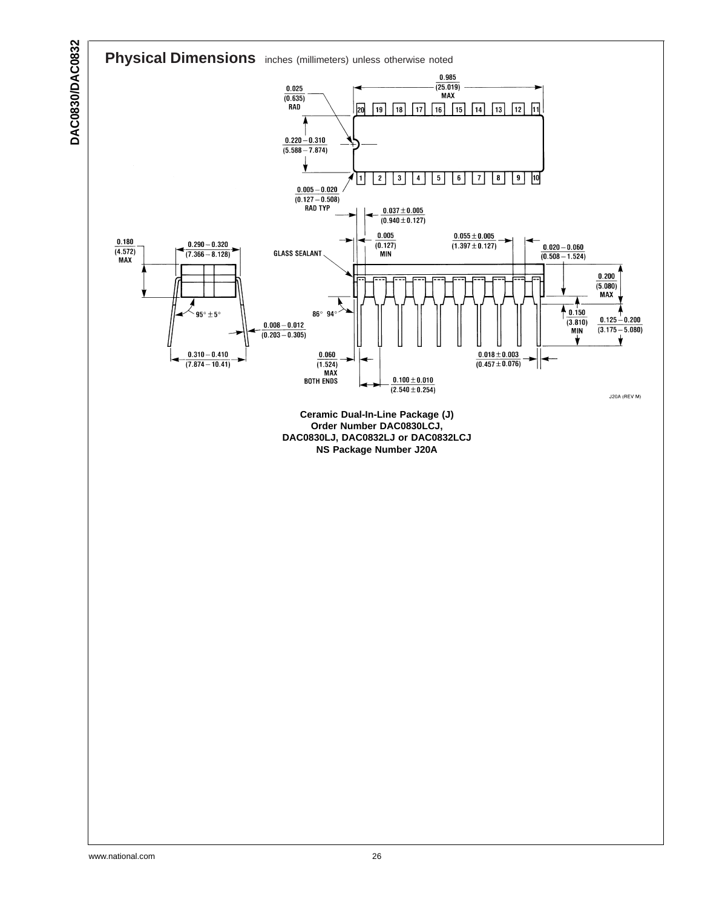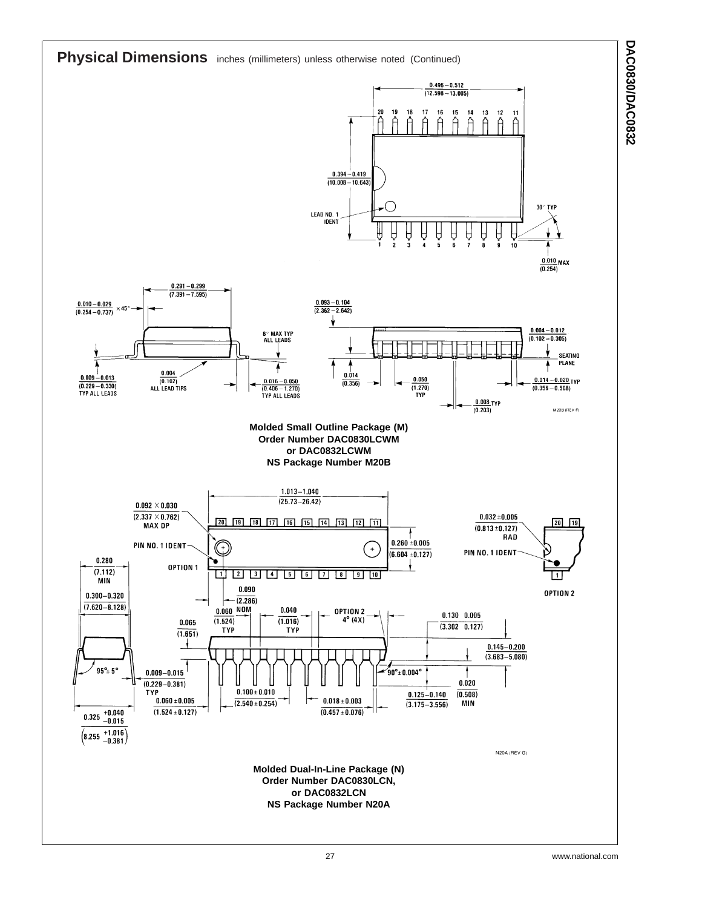